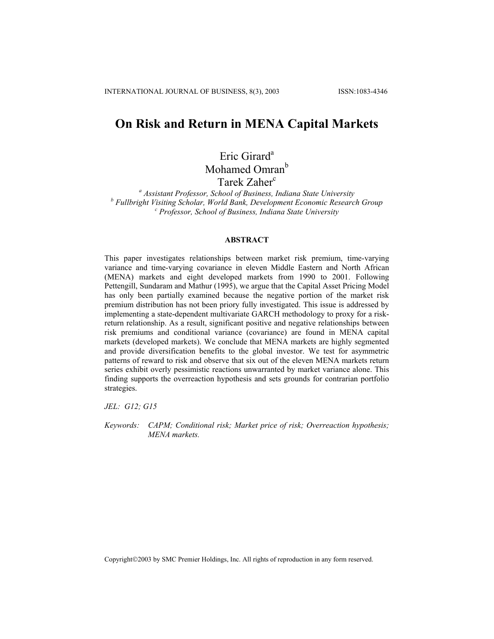# **On Risk and Return in MENA Capital Markets**

# Eric Girard<sup>a</sup> Mohamed Omran<sup>b</sup>

Tarek Zaher<sup>c</sup>

*a Assistant Professor, School of Business, Indiana State University* <sup>*b*</sup> Fullbright Visiting Scholar, World Bank, Development Economic Research Group<br>Conoration of Pusiness, Indiana State University  *Professor, School of Business, Indiana State University*

## **ABSTRACT**

This paper investigates relationships between market risk premium, time-varying variance and time-varying covariance in eleven Middle Eastern and North African (MENA) markets and eight developed markets from 1990 to 2001. Following Pettengill, Sundaram and Mathur (1995), we argue that the Capital Asset Pricing Model has only been partially examined because the negative portion of the market risk premium distribution has not been priory fully investigated. This issue is addressed by implementing a state-dependent multivariate GARCH methodology to proxy for a riskreturn relationship. As a result, significant positive and negative relationships between risk premiums and conditional variance (covariance) are found in MENA capital markets (developed markets). We conclude that MENA markets are highly segmented and provide diversification benefits to the global investor. We test for asymmetric patterns of reward to risk and observe that six out of the eleven MENA markets return series exhibit overly pessimistic reactions unwarranted by market variance alone. This finding supports the overreaction hypothesis and sets grounds for contrarian portfolio strategies.

*JEL: G12; G15* 

*Keywords: CAPM; Conditional risk; Market price of risk; Overreaction hypothesis; MENA markets.* 

Copyright©2003 by SMC Premier Holdings, Inc. All rights of reproduction in any form reserved.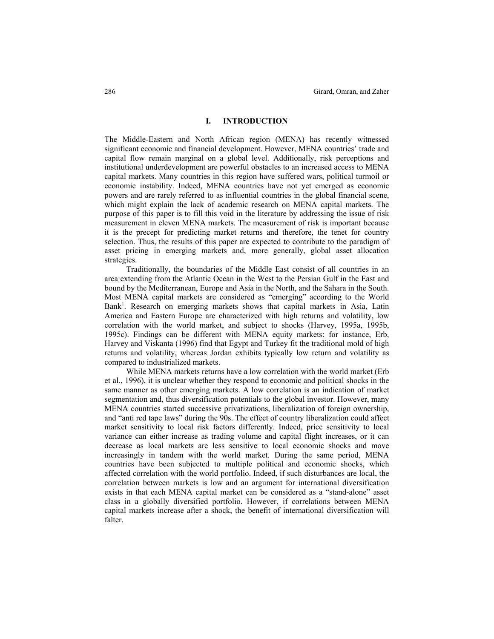### **I. INTRODUCTION**

The Middle-Eastern and North African region (MENA) has recently witnessed significant economic and financial development. However, MENA countries' trade and capital flow remain marginal on a global level. Additionally, risk perceptions and institutional underdevelopment are powerful obstacles to an increased access to MENA capital markets. Many countries in this region have suffered wars, political turmoil or economic instability. Indeed, MENA countries have not yet emerged as economic powers and are rarely referred to as influential countries in the global financial scene, which might explain the lack of academic research on MENA capital markets. The purpose of this paper is to fill this void in the literature by addressing the issue of risk measurement in eleven MENA markets. The measurement of risk is important because it is the precept for predicting market returns and therefore, the tenet for country selection. Thus, the results of this paper are expected to contribute to the paradigm of asset pricing in emerging markets and, more generally, global asset allocation strategies.

Traditionally, the boundaries of the Middle East consist of all countries in an area extending from the Atlantic Ocean in the West to the Persian Gulf in the East and bound by the Mediterranean, Europe and Asia in the North, and the Sahara in the South. Most MENA capital markets are considered as "emerging" according to the World Bank<sup>1</sup>. Research on emerging markets shows that capital markets in Asia, Latin America and Eastern Europe are characterized with high returns and volatility, low correlation with the world market, and subject to shocks (Harvey, 1995a, 1995b, 1995c). Findings can be different with MENA equity markets: for instance, Erb, Harvey and Viskanta (1996) find that Egypt and Turkey fit the traditional mold of high returns and volatility, whereas Jordan exhibits typically low return and volatility as compared to industrialized markets.

While MENA markets returns have a low correlation with the world market (Erb et al., 1996), it is unclear whether they respond to economic and political shocks in the same manner as other emerging markets. A low correlation is an indication of market segmentation and, thus diversification potentials to the global investor. However, many MENA countries started successive privatizations, liberalization of foreign ownership, and "anti red tape laws" during the 90s. The effect of country liberalization could affect market sensitivity to local risk factors differently. Indeed, price sensitivity to local variance can either increase as trading volume and capital flight increases, or it can decrease as local markets are less sensitive to local economic shocks and move increasingly in tandem with the world market. During the same period, MENA countries have been subjected to multiple political and economic shocks, which affected correlation with the world portfolio. Indeed, if such disturbances are local, the correlation between markets is low and an argument for international diversification exists in that each MENA capital market can be considered as a "stand-alone" asset class in a globally diversified portfolio. However, if correlations between MENA capital markets increase after a shock, the benefit of international diversification will falter.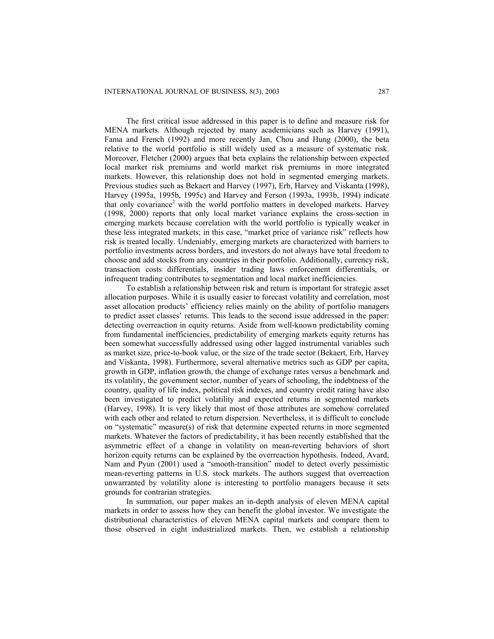The first critical issue addressed in this paper is to define and measure risk for MENA markets. Although rejected by many academicians such as Harvey (1991), Fama and French (1992) and more recently Jan, Chou and Hung (2000), the beta relative to the world portfolio is still widely used as a measure of systematic risk. Moreover, Fletcher (2000) argues that beta explains the relationship between expected local market risk premiums and world market risk premiums in more integrated markets. However, this relationship does not hold in segmented emerging markets. Previous studies such as Bekaert and Harvey (1997), Erb, Harvey and Viskanta (1998), Harvey (1995a, 1995b, 1995c) and Harvey and Ferson (1993a, 1993b, 1994) indicate that only covariance<sup>2</sup> with the world portfolio matters in developed markets. Harvey (1998, 2000) reports that only local market variance explains the cross-section in emerging markets because correlation with the world portfolio is typically weaker in these less integrated markets; in this case, "market price of variance risk" reflects how risk is treated locally. Undeniably, emerging markets are characterized with barriers to portfolio investments across borders, and investors do not always have total freedom to choose and add stocks from any countries in their portfolio. Additionally, currency risk, transaction costs differentials, insider trading laws enforcement differentials, or infrequent trading contributes to segmentation and local market inefficiencies.

To establish a relationship between risk and return is important for strategic asset allocation purposes. While it is usually easier to forecast volatility and correlation, most asset allocation products' efficiency relies mainly on the ability of portfolio managers to predict asset classes' returns. This leads to the second issue addressed in the paper: detecting overreaction in equity returns. Aside from well-known predictability coming from fundamental inefficiencies, predictability of emerging markets equity returns has been somewhat successfully addressed using other lagged instrumental variables such as market size, price-to-book value, or the size of the trade sector (Bekaert, Erb, Harvey and Viskanta, 1998). Furthermore, several alternative metrics such as GDP per capita, growth in GDP, inflation growth, the change of exchange rates versus a benchmark and its volatility, the government sector, number of years of schooling, the indebtness of the country, quality of life index, political risk indexes, and country credit rating have also been investigated to predict volatility and expected returns in segmented markets (Harvey, 1998). It is very likely that most of those attributes are somehow correlated with each other and related to return dispersion. Nevertheless, it is difficult to conclude on "systematic" measure(s) of risk that determine expected returns in more segmented markets. Whatever the factors of predictability, it has been recently established that the asymmetric effect of a change in volatility on mean-reverting behaviors of short horizon equity returns can be explained by the overreaction hypothesis. Indeed, Avard, Nam and Pyun (2001) used a "smooth-transition" model to detect overly pessimistic mean-reverting patterns in U.S. stock markets. The authors suggest that overreaction unwarranted by volatility alone is interesting to portfolio managers because it sets grounds for contrarian strategies.

In summation, our paper makes an in-depth analysis of eleven MENA capital markets in order to assess how they can benefit the global investor. We investigate the distributional characteristics of eleven MENA capital markets and compare them to those observed in eight industrialized markets. Then, we establish a relationship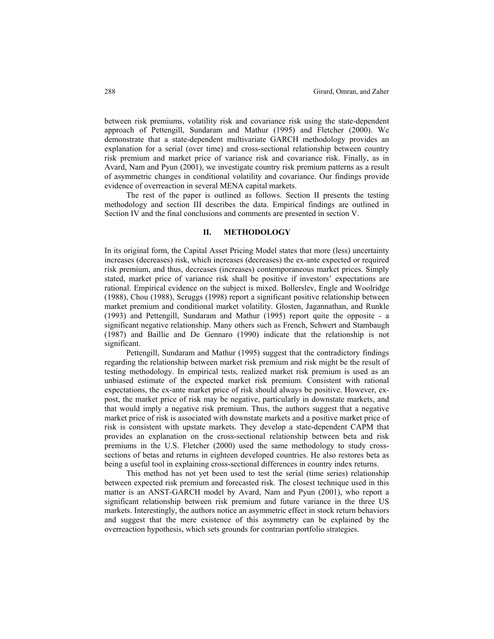between risk premiums, volatility risk and covariance risk using the state-dependent approach of Pettengill, Sundaram and Mathur (1995) and Fletcher (2000). We demonstrate that a state-dependent multivariate GARCH methodology provides an explanation for a serial (over time) and cross-sectional relationship between country risk premium and market price of variance risk and covariance risk. Finally, as in Avard, Nam and Pyun (2001), we investigate country risk premium patterns as a result of asymmetric changes in conditional volatility and covariance. Our findings provide evidence of overreaction in several MENA capital markets.

The rest of the paper is outlined as follows. Section II presents the testing methodology and section III describes the data. Empirical findings are outlined in Section IV and the final conclusions and comments are presented in section V.

### **II. METHODOLOGY**

In its original form, the Capital Asset Pricing Model states that more (less) uncertainty increases (decreases) risk, which increases (decreases) the ex-ante expected or required risk premium, and thus, decreases (increases) contemporaneous market prices. Simply stated, market price of variance risk shall be positive if investors' expectations are rational. Empirical evidence on the subject is mixed. Bollerslev, Engle and Woolridge (1988), Chou (1988), Scruggs (1998) report a significant positive relationship between market premium and conditional market volatility. Glosten, Jagannathan, and Runkle (1993) and Pettengill, Sundaram and Mathur (1995) report quite the opposite - a significant negative relationship. Many others such as French, Schwert and Stambaugh (1987) and Baillie and De Gennaro (1990) indicate that the relationship is not significant.

Pettengill, Sundaram and Mathur (1995) suggest that the contradictory findings regarding the relationship between market risk premium and risk might be the result of testing methodology. In empirical tests, realized market risk premium is used as an unbiased estimate of the expected market risk premium. Consistent with rational expectations, the ex-ante market price of risk should always be positive. However, expost, the market price of risk may be negative, particularly in downstate markets, and that would imply a negative risk premium. Thus, the authors suggest that a negative market price of risk is associated with downstate markets and a positive market price of risk is consistent with upstate markets. They develop a state-dependent CAPM that provides an explanation on the cross-sectional relationship between beta and risk premiums in the U.S. Fletcher (2000) used the same methodology to study crosssections of betas and returns in eighteen developed countries. He also restores beta as being a useful tool in explaining cross-sectional differences in country index returns.

This method has not yet been used to test the serial (time series) relationship between expected risk premium and forecasted risk. The closest technique used in this matter is an ANST-GARCH model by Avard, Nam and Pyun (2001), who report a significant relationship between risk premium and future variance in the three US markets. Interestingly, the authors notice an asymmetric effect in stock return behaviors and suggest that the mere existence of this asymmetry can be explained by the overreaction hypothesis, which sets grounds for contrarian portfolio strategies.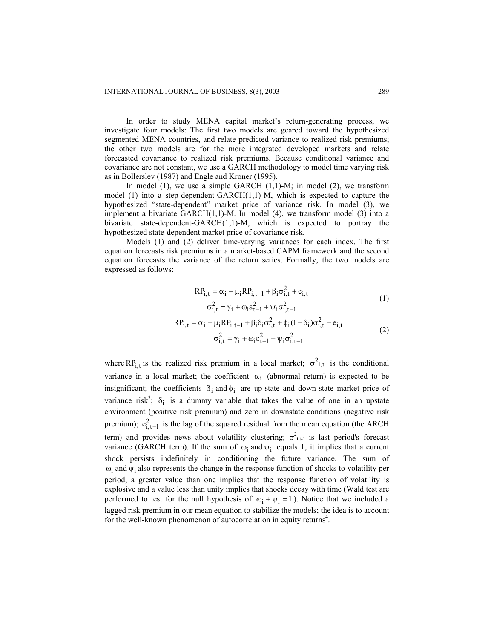In order to study MENA capital market's return-generating process, we investigate four models: The first two models are geared toward the hypothesized segmented MENA countries, and relate predicted variance to realized risk premiums; the other two models are for the more integrated developed markets and relate forecasted covariance to realized risk premiums. Because conditional variance and covariance are not constant, we use a GARCH methodology to model time varying risk as in Bollerslev (1987) and Engle and Kroner (1995).

In model  $(1)$ , we use a simple GARCH  $(1,1)$ -M; in model  $(2)$ , we transform model (1) into a step-dependent-GARCH(1,1)-M, which is expected to capture the hypothesized "state-dependent" market price of variance risk. In model (3), we implement a bivariate  $GARCH(1,1)-M$ . In model (4), we transform model (3) into a bivariate state-dependent-GARCH(1,1)-M, which is expected to portray the hypothesized state-dependent market price of covariance risk.

Models (1) and (2) deliver time-varying variances for each index. The first equation forecasts risk premiums in a market-based CAPM framework and the second equation forecasts the variance of the return series. Formally, the two models are expressed as follows:

$$
RP_{i,t} = \alpha_i + \mu_i RP_{i,t-1} + \beta_i \sigma_{i,t}^2 + e_{i,t}
$$
  
\n
$$
\sigma_{i,t}^2 = \gamma_i + \omega_i \epsilon_{t-1}^2 + \psi_i \sigma_{i,t-1}^2
$$
  
\n
$$
RP_{i,t} = \alpha_i + \mu_i RP_{i,t-1} + \beta_i \delta_i \sigma_{i,t}^2 + \phi_i (1 - \delta_i) \sigma_{i,t}^2 + e_{i,t}
$$
  
\n
$$
\sigma_{i,t}^2 = \gamma_i + \omega_i \epsilon_{t-1}^2 + \psi_i \sigma_{i,t-1}^2
$$
\n(2)

where RP<sub>i,t</sub> is the realized risk premium in a local market;  $\sigma^2$ <sub>i,t</sub> is the conditional variance in a local market; the coefficient  $\alpha_i$  (abnormal return) is expected to be insignificant; the coefficients  $\beta_i$  and  $\phi_i$  are up-state and down-state market price of variance risk<sup>3</sup>;  $\delta_i$  is a dummy variable that takes the value of one in an upstate environment (positive risk premium) and zero in downstate conditions (negative risk premium);  $e_{i,t-1}^2$  is the lag of the squared residual from the mean equation (the ARCH term) and provides news about volatility clustering;  $\sigma_{i,t-1}^2$  is last period's forecast variance (GARCH term). If the sum of  $\omega_i$  and  $\psi_i$  equals 1, it implies that a current shock persists indefinitely in conditioning the future variance. The sum of  $\omega_i$  and  $\psi_i$  also represents the change in the response function of shocks to volatility per period, a greater value than one implies that the response function of volatility is explosive and a value less than unity implies that shocks decay with time (Wald test are performed to test for the null hypothesis of  $\omega_i + \psi_i = 1$ ). Notice that we included a lagged risk premium in our mean equation to stabilize the models; the idea is to account for the well-known phenomenon of autocorrelation in equity returns<sup>4</sup>.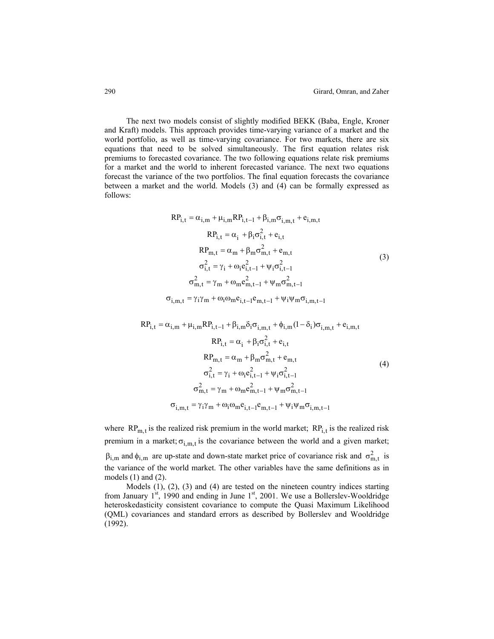The next two models consist of slightly modified BEKK (Baba, Engle, Kroner and Kraft) models. This approach provides time-varying variance of a market and the world portfolio, as well as time-varying covariance. For two markets, there are six equations that need to be solved simultaneously. The first equation relates risk premiums to forecasted covariance. The two following equations relate risk premiums for a market and the world to inherent forecasted variance. The next two equations forecast the variance of the two portfolios. The final equation forecasts the covariance between a market and the world. Models (3) and (4) can be formally expressed as follows:

$$
RP_{i,t} = \alpha_{i,m} + \mu_{i,m} RP_{i,t-1} + \beta_{i,m} \sigma_{i,m,t} + e_{i,m,t}
$$
  
\n
$$
RP_{i,t} = \alpha_i + \beta_i \sigma_{i,t}^2 + e_{i,t}
$$
  
\n
$$
RP_{m,t} = \alpha_m + \beta_m \sigma_{m,t}^2 + e_{m,t}
$$
  
\n
$$
\sigma_{i,t}^2 = \gamma_i + \omega_i e_{i,t-1}^2 + \psi_i \sigma_{i,t-1}^2
$$
  
\n
$$
\sigma_{m,t}^2 = \gamma_m + \omega_m e_{m,t-1}^2 + \psi_m \sigma_{m,t-1}^2
$$
  
\n
$$
\sigma_{i,m,t} = \gamma_i \gamma_m + \omega_i \omega_m e_{i,t-1} + \psi_m \sigma_{i,m,t-1}^2
$$
  
\n(3)

$$
RP_{i,t} = \alpha_{i,m} + \mu_{i,m} RP_{i,t-1} + \beta_{i,m} \delta_i \sigma_{i,m,t} + \phi_{i,m} (1 - \delta_i) \sigma_{i,m,t} + e_{i,m,t}
$$
  
\n
$$
RP_{i,t} = \alpha_i + \beta_i \sigma_{i,t}^2 + e_{i,t}
$$
  
\n
$$
RP_{m,t} = \alpha_m + \beta_m \sigma_{m,t}^2 + e_{m,t}
$$
  
\n
$$
\sigma_{i,t}^2 = \gamma_i + \omega_i e_{i,t-1}^2 + \psi_i \sigma_{i,t-1}^2
$$
  
\n
$$
\sigma_{m,t}^2 = \gamma_m + \omega_m e_{m,t-1}^2 + \psi_m \sigma_{m,t-1}^2
$$
  
\n
$$
\sigma_{i,m,t} = \gamma_i \gamma_m + \omega_i \omega_m e_{i,t-1} e_{m,t-1} + \psi_i \psi_m \sigma_{i,m,t-1}
$$
 (4)

where  $RP_{m,t}$  is the realized risk premium in the world market;  $RP_{i,t}$  is the realized risk premium in a market;  $\sigma_{i,m,t}$  is the covariance between the world and a given market;

 $\beta_{i,m}$  and  $\phi_{i,m}$  are up-state and down-state market price of covariance risk and  $\sigma_{m,t}^2$  is the variance of the world market. The other variables have the same definitions as in models (1) and (2).

Models (1), (2), (3) and (4) are tested on the nineteen country indices starting from January  $1<sup>st</sup>$ , 1990 and ending in June  $1<sup>st</sup>$ , 2001. We use a Bollerslev-Wooldridge heteroskedasticity consistent covariance to compute the Quasi Maximum Likelihood (QML) covariances and standard errors as described by Bollerslev and Wooldridge (1992).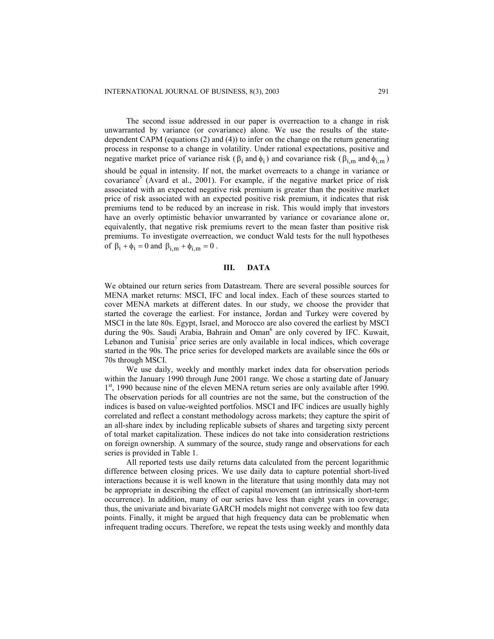The second issue addressed in our paper is overreaction to a change in risk unwarranted by variance (or covariance) alone. We use the results of the statedependent CAPM (equations (2) and (4)) to infer on the change on the return generating process in response to a change in volatility. Under rational expectations, positive and negative market price of variance risk ( $\beta_i$  and  $\phi_i$ ) and covariance risk ( $\beta_{i,m}$  and  $\phi_{i,m}$ ) should be equal in intensity. If not, the market overreacts to a change in variance or covariance<sup>5</sup> (Avard et al., 2001). For example, if the negative market price of risk associated with an expected negative risk premium is greater than the positive market price of risk associated with an expected positive risk premium, it indicates that risk premiums tend to be reduced by an increase in risk. This would imply that investors have an overly optimistic behavior unwarranted by variance or covariance alone or, equivalently, that negative risk premiums revert to the mean faster than positive risk premiums. To investigate overreaction, we conduct Wald tests for the null hypotheses of  $\beta_i + \phi_i = 0$  and  $\beta_{i,m} + \phi_{i,m} = 0$ .

## **III. DATA**

We obtained our return series from Datastream. There are several possible sources for MENA market returns: MSCI, IFC and local index. Each of these sources started to cover MENA markets at different dates. In our study, we choose the provider that started the coverage the earliest. For instance, Jordan and Turkey were covered by MSCI in the late 80s. Egypt, Israel, and Morocco are also covered the earliest by MSCI during the 90s. Saudi Arabia, Bahrain and Oman<sup>6</sup> are only covered by IFC. Kuwait, Lebanon and Tunisia<sup>7</sup> price series are only available in local indices, which coverage started in the 90s. The price series for developed markets are available since the 60s or 70s through MSCI.

We use daily, weekly and monthly market index data for observation periods within the January 1990 through June 2001 range. We chose a starting date of January 1<sup>st</sup>, 1990 because nine of the eleven MENA return series are only available after 1990. The observation periods for all countries are not the same, but the construction of the indices is based on value-weighted portfolios. MSCI and IFC indices are usually highly correlated and reflect a constant methodology across markets; they capture the spirit of an all-share index by including replicable subsets of shares and targeting sixty percent of total market capitalization. These indices do not take into consideration restrictions on foreign ownership. A summary of the source, study range and observations for each series is provided in Table 1.

All reported tests use daily returns data calculated from the percent logarithmic difference between closing prices. We use daily data to capture potential short-lived interactions because it is well known in the literature that using monthly data may not be appropriate in describing the effect of capital movement (an intrinsically short-term occurrence). In addition, many of our series have less than eight years in coverage; thus, the univariate and bivariate GARCH models might not converge with too few data points. Finally, it might be argued that high frequency data can be problematic when infrequent trading occurs. Therefore, we repeat the tests using weekly and monthly data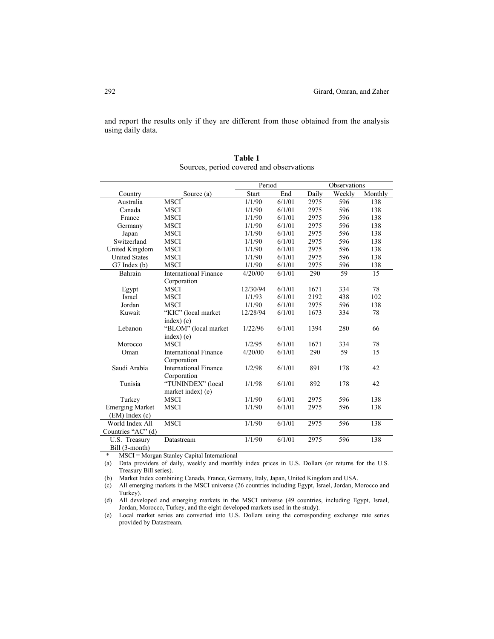and report the results only if they are different from those obtained from the analysis using daily data.

|                        |                              | Period   |        |       | Observations |         |
|------------------------|------------------------------|----------|--------|-------|--------------|---------|
| Country                | Source (a)                   | Start    | End    | Daily | Weekly       | Monthly |
| Australia              | <b>MSCI</b>                  | 1/1/90   | 6/1/01 | 2975  | 596          | 138     |
| Canada                 | <b>MSCI</b>                  | 1/1/90   | 6/1/01 | 2975  | 596          | 138     |
| France                 | <b>MSCI</b>                  | 1/1/90   | 6/1/01 | 2975  | 596          | 138     |
| Germany                | <b>MSCI</b>                  | 1/1/90   | 6/1/01 | 2975  | 596          | 138     |
| Japan                  | <b>MSCI</b>                  | 1/1/90   | 6/1/01 | 2975  | 596          | 138     |
| Switzerland            | <b>MSCI</b>                  | 1/1/90   | 6/1/01 | 2975  | 596          | 138     |
| United Kingdom         | <b>MSCI</b>                  | 1/1/90   | 6/1/01 | 2975  | 596          | 138     |
| <b>United States</b>   | <b>MSCI</b>                  | 1/1/90   | 6/1/01 | 2975  | 596          | 138     |
| $G7$ Index $(b)$       | <b>MSCI</b>                  | 1/1/90   | 6/1/01 | 2975  | 596          | 138     |
| Bahrain                | <b>International Finance</b> | 4/20/00  | 6/1/01 | 290   | 59           | 15      |
|                        | Corporation                  |          |        |       |              |         |
| Egypt                  | <b>MSCI</b>                  | 12/30/94 | 6/1/01 | 1671  | 334          | 78      |
| <b>Israel</b>          | <b>MSCI</b>                  | 1/1/93   | 6/1/01 | 2192  | 438          | 102     |
| Jordan                 | <b>MSCI</b>                  | 1/1/90   | 6/1/01 | 2975  | 596          | 138     |
| Kuwait                 | "KIC" (local market          | 12/28/94 | 6/1/01 | 1673  | 334          | 78      |
|                        | $index)$ (e)                 |          |        |       |              |         |
| Lebanon                | "BLOM" (local market         | 1/22/96  | 6/1/01 | 1394  | 280          | 66      |
|                        | index) (e)                   |          |        |       |              |         |
| Morocco                | <b>MSCI</b>                  | 1/2/95   | 6/1/01 | 1671  | 334          | 78      |
| Oman                   | <b>International Finance</b> | 4/20/00  | 6/1/01 | 290   | 59           | 15      |
|                        | Corporation                  |          |        |       |              |         |
| Saudi Arabia           | <b>International Finance</b> | 1/2/98   | 6/1/01 | 891   | 178          | 42      |
|                        | Corporation                  |          |        |       |              |         |
| Tunisia                | "TUNINDEX" (local            | 1/1/98   | 6/1/01 | 892   | 178          | 42      |
|                        | market index) (e)            |          |        |       |              |         |
| Turkey                 | <b>MSCI</b>                  | 1/1/90   | 6/1/01 | 2975  | 596          | 138     |
| <b>Emerging Market</b> | <b>MSCI</b>                  | 1/1/90   | 6/1/01 | 2975  | 596          | 138     |
| $(EM)$ Index $(c)$     |                              |          |        |       |              |         |
| World Index All        | <b>MSCI</b>                  | 1/1/90   | 6/1/01 | 2975  | 596          | 138     |
| Countries "AC" (d)     |                              |          |        |       |              |         |
| U.S. Treasury          | Datastream                   | 1/1/90   | 6/1/01 | 2975  | 596          | 138     |
| Bill (3-month)         |                              |          |        |       |              |         |

**Table 1** Sources, period covered and observations

\* MSCI = Morgan Stanley Capital International

(a) Data providers of daily, weekly and monthly index prices in U.S. Dollars (or returns for the U.S. Treasury Bill series).

(b) Market Index combining Canada, France, Germany, Italy, Japan, United Kingdom and USA.

(c) All emerging markets in the MSCI universe (26 countries including Egypt, Israel, Jordan, Morocco and Turkey).

(d) All developed and emerging markets in the MSCI universe (49 countries, including Egypt, Israel, Jordan, Morocco, Turkey, and the eight developed markets used in the study).

(e) Local market series are converted into U.S. Dollars using the corresponding exchange rate series provided by Datastream.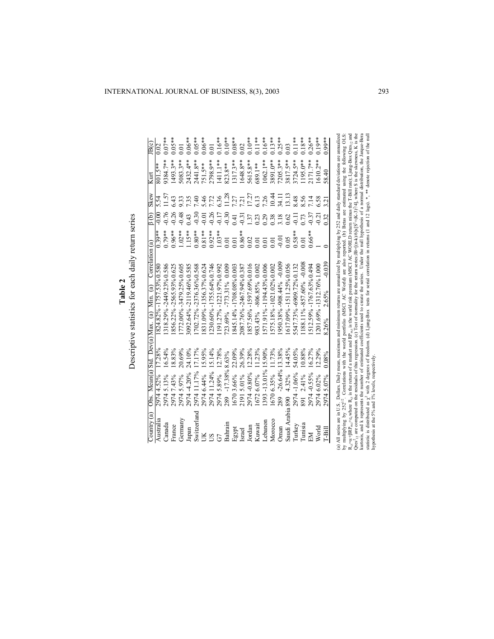| Country $(a)$    | Obs. Mean(a) Std. Dev(a) Max. (a) Min. (a) |                   |       |                           |          | Correlation (a)                                     | 8 (b)         | <b>Skew</b> | Kurt          | IB(c)     |
|------------------|--------------------------------------------|-------------------|-------|---------------------------|----------|-----------------------------------------------------|---------------|-------------|---------------|-----------|
| Australia        | 4.52%<br>2974                              | 17.28%            |       | 1824.82% -1757.53% 0.58   |          | $0.39**$                                            | $-0.00$       |             |               |           |
| Canada           | 5.13%<br>2974                              | 16.54%            |       | 318.29% -2449.23% 0.586   |          | $0.79**$                                            | $-0.76$       | 1.57        | **<br>384.7** | $0.07**$  |
| France           | 7.43%<br>2974                              | 18.83%            |       | 856.22% -2565.93% 0.625   |          | $0.96**$                                            | 0.26          | 6.43        | $1493.3**$    | $0.05**$  |
| Germany          | 5.97%<br>2974                              | 20.69%            |       | 772.00% -3479.25% 0.605   |          | $1.02**$                                            | 0.48          | 9.33        | $5083.3**$    | 0.01      |
| Japan            | $-4.20%$<br>2974                           | 24.10%            |       | 8092.64% -2119.46% 0.585  |          | $1.15**$                                            | 0.43          | 7.35        | $2432.4**$    | $0.06***$ |
| Switzerland      | 11.17%<br>2974                             | 17.17%            |       | 702.72% -2376.36% 0.568   |          | $0.80**$                                            | 0.30          | 7.40        | 2441.8**      | $0.05**$  |
|                  | 2974 6.44%                                 | 15.95%            |       | 831.09% -1356.37% 0.624   |          | $0.81***$                                           | $-0.01$       | 5.46        | $751.5**$     | $0.06***$ |
| $\overline{S}$   | 11.24%<br>2974                             | 15.14%            |       | 230.60% -1755.64% 0.746   |          | $0.92***$                                           | 0.26          | 7.72        | 2798.9**      | 0.01      |
| G                | 5.89%<br>2974                              | 12.78%            |       | 191.27% -1221.97% 0.992   |          | $1.03**$                                            | $-0.17$       | 6.36        | $[411.1**]$   | $0.16***$ |
| Bahrain          | -17.38%8.63%<br>289                        |                   |       | 23.69% -773.31% 0.009     |          | 0.01                                                | $-0.30$       | 11.28       | 823.8**       | $0^{**}$  |
| Egypt            | 3.66%<br>1670                              | 22.09%            |       | 845.14% -1708.08% 0.003   |          | 0.01                                                | 0.41          | 7.27        | $.317.3**$    | $0.08***$ |
| Israel           | 5.01%<br>2191                              | 26.39%            |       | 2087.76% -2467.94% 0.387  |          | $0.86***$                                           | $-0.31$       | 7.21        | $1648.8**$    | 0.02      |
| Jordan           | $-0.80%$<br>2974                           | 12.28%            |       | 857.56% -1597.69% 0.016   |          |                                                     | 1.37          | 17.27       | 5615.8**      | $0.10**$  |
| Kuwait           | 6.07%<br>1672                              | 11.23%            |       | 983.43% -806.85% 0.002    |          | $\begin{array}{c} 0.02 \\ 0.01 \\ 0.01 \end{array}$ |               | 6.13        | 589.1**       | $0.11**$  |
| $-ebanon$        | 1393                                       | $-13.01\%$ 15.90% |       | 571.91%-1194.43%0.006     |          |                                                     | 0.23          | 7.26        | $1062.1**$    | $0.16***$ |
| Morocco          | 6.35%<br>1670                              | 11.73%            |       | 575.18% -1021.02% 0.002   |          |                                                     | 0.38          | 10.44       | \$891.0**     | $0.13**$  |
| <b>Jman</b>      | $-26.64%$<br>289                           | 13.38%            |       | 950.38% - 908.44% - 0.009 |          | $-0.01$                                             | 3.18          | 34.11       | $7205.3**$    | $0.25***$ |
| Saudi Arabia 890 | 4.32%                                      | 14.45%            |       | 617.09% -1511.25% 0.056   |          | 0.05                                                | 0.62          | 13.13       | 8817.5**      | 0.03      |
| Turkey           | $-1.06%$<br>2974                           | 54.05%            |       | 547.73% -6909.72% 0.132   |          | $0.58***$                                           | $\frac{1}{2}$ | 8.48        | $$724.5**$    | $0.11**$  |
| Tunisia          | 2.41%<br>891                               | 10.88%            |       | 188.11%-857.60%-0.008     |          | 0.01                                                | 0.73          | 8.56        | 195.0**       | $0.18***$ |
| EМ               | $-0.55%$<br>2974                           | 16.27%            |       | 512.59% -1767.63% 0.494   |          | $0.66**$                                            | 0.37          | 7.14        | $2171.7**$    | $0.26***$ |
| World            | 2974 6.02%                                 | 2.29%             |       | 201.69% -1312.76% 1.000   |          |                                                     | $-0.21$       | 6.58        | $610.2***$    | $0.19**$  |
| $T-Bill$         | 5.07%<br>2974                              | 0.08%             | 8.26% | 2.65%                     | $-0.039$ |                                                     | 0.32          | 3.21        | 58.40         | $0.99**$  |

Descriptive statistics for each daily return series Descriptive statistics for each daily return series **Table 2**

(a) All series are in U.S. Dollars. Daily mean, maximum and minimum returns are annualized by multiplying by 252 and daily standard deviations are annualized<br>by multiplying by 252<sup>12</sup>. Correlations with the world portfoli R<sub>it</sub>=α+βRP<sub>m</sub>,+ε<sub>t</sub> where R<sub>it</sub> is the return of a market and RP<sub>m</sub>, is the world risk premium (MSCI AC WORLD return minus the T-Bill rate); Ljung-Box Qres<sub>12</sub> and kurtosis, and k represents the number of estimated coefficients used to create the series. Under the null hypothesis of a normal distribution, the Jarque-Bera Qres<sup>2</sup><sub>12</sub> are computed on the residuals of this regression. (c) Test of normality for the return series:JB=[(n-k)/6]x[S<sup>2</sup>+(K-3)<sup>2</sup>/4], where S is the skewness, K is the statistic is distributed as  $\chi^2$  with 2 degrees of freedom. (d) Ljung-Box tests for serial correlation in returns (1 and 12 lags). \*, \*\* denote rejection of the null hypothesis at the 5% and 1% levels, respectively.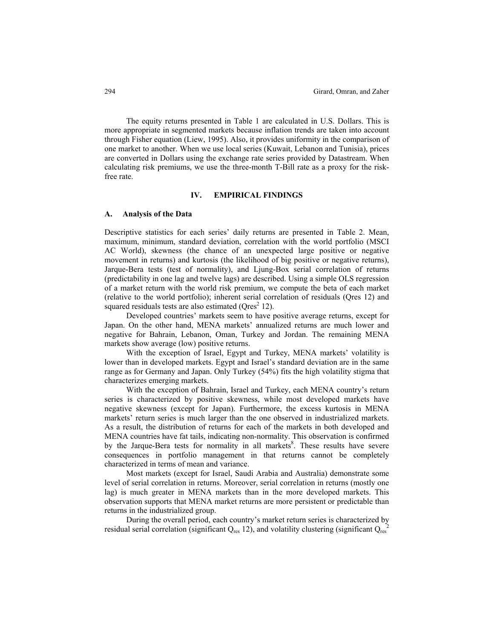The equity returns presented in Table 1 are calculated in U.S. Dollars. This is more appropriate in segmented markets because inflation trends are taken into account through Fisher equation (Liew, 1995). Also, it provides uniformity in the comparison of one market to another. When we use local series (Kuwait, Lebanon and Tunisia), prices are converted in Dollars using the exchange rate series provided by Datastream. When calculating risk premiums, we use the three-month T-Bill rate as a proxy for the riskfree rate.

### **IV. EMPIRICAL FINDINGS**

### **A. Analysis of the Data**

Descriptive statistics for each series' daily returns are presented in Table 2. Mean, maximum, minimum, standard deviation, correlation with the world portfolio (MSCI AC World), skewness (the chance of an unexpected large positive or negative movement in returns) and kurtosis (the likelihood of big positive or negative returns), Jarque-Bera tests (test of normality), and Ljung-Box serial correlation of returns (predictability in one lag and twelve lags) are described. Using a simple OLS regression of a market return with the world risk premium, we compute the beta of each market (relative to the world portfolio); inherent serial correlation of residuals (Qres 12) and squared residuals tests are also estimated ( $Qres<sup>2</sup> 12$ ).

Developed countries' markets seem to have positive average returns, except for Japan. On the other hand, MENA markets' annualized returns are much lower and negative for Bahrain, Lebanon, Oman, Turkey and Jordan. The remaining MENA markets show average (low) positive returns.

With the exception of Israel, Egypt and Turkey, MENA markets' volatility is lower than in developed markets. Egypt and Israel's standard deviation are in the same range as for Germany and Japan. Only Turkey (54%) fits the high volatility stigma that characterizes emerging markets.

With the exception of Bahrain, Israel and Turkey, each MENA country's return series is characterized by positive skewness, while most developed markets have negative skewness (except for Japan). Furthermore, the excess kurtosis in MENA markets' return series is much larger than the one observed in industrialized markets. As a result, the distribution of returns for each of the markets in both developed and MENA countries have fat tails, indicating non-normality. This observation is confirmed by the Jarque-Bera tests for normality in all markets<sup>8</sup>. These results have severe consequences in portfolio management in that returns cannot be completely characterized in terms of mean and variance.

Most markets (except for Israel, Saudi Arabia and Australia) demonstrate some level of serial correlation in returns. Moreover, serial correlation in returns (mostly one lag) is much greater in MENA markets than in the more developed markets. This observation supports that MENA market returns are more persistent or predictable than returns in the industrialized group.

During the overall period, each country's market return series is characterized by residual serial correlation (significant  $Q_{res}$  12), and volatility clustering (significant  $Q_{res}$ <sup>2</sup>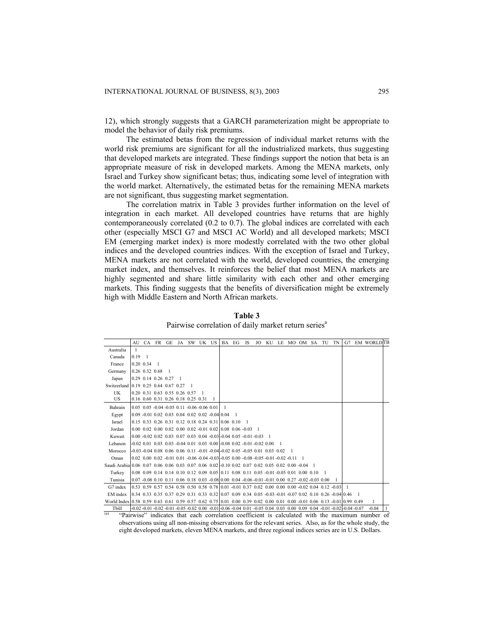12), which strongly suggests that a GARCH parameterization might be appropriate to model the behavior of daily risk premiums.

The estimated betas from the regression of individual market returns with the world risk premiums are significant for all the industrialized markets, thus suggesting that developed markets are integrated. These findings support the notion that beta is an appropriate measure of risk in developed markets. Among the MENA markets, only Israel and Turkey show significant betas; thus, indicating some level of integration with the world market. Alternatively, the estimated betas for the remaining MENA markets are not significant, thus suggesting market segmentation.

The correlation matrix in Table 3 provides further information on the level of integration in each market. All developed countries have returns that are highly contemporaneously correlated (0.2 to 0.7). The global indices are correlated with each other (especially MSCI G7 and MSCI AC World) and all developed markets; MSCI EM (emerging market index) is more modestly correlated with the two other global indices and the developed countries indices. With the exception of Israel and Turkey, MENA markets are not correlated with the world, developed countries, the emerging market index, and themselves. It reinforces the belief that most MENA markets are highly segmented and share little similarity with each other and other emerging markets. This finding suggests that the benefits of diversification might be extremely high with Middle Eastern and North African markets.

**Table 3**  Pairwise correlation of daily market return series<sup>a</sup>

|                                                                                                                        | AU                  |  |                                                             |  | CA FR GE JA SW UK US BA EG IS                                  |  |                                                                                                          | JO KU |  | LE MO OM SA TU |  | TN | G7                                                                                                                                                                              | <b>EM WORLDTB</b> |  |
|------------------------------------------------------------------------------------------------------------------------|---------------------|--|-------------------------------------------------------------|--|----------------------------------------------------------------|--|----------------------------------------------------------------------------------------------------------|-------|--|----------------|--|----|---------------------------------------------------------------------------------------------------------------------------------------------------------------------------------|-------------------|--|
| Australia                                                                                                              | 1                   |  |                                                             |  |                                                                |  |                                                                                                          |       |  |                |  |    |                                                                                                                                                                                 |                   |  |
| Canada                                                                                                                 | 0.19                |  |                                                             |  |                                                                |  |                                                                                                          |       |  |                |  |    |                                                                                                                                                                                 |                   |  |
| France                                                                                                                 | $0.20 \ \ 0.34$     |  |                                                             |  |                                                                |  |                                                                                                          |       |  |                |  |    |                                                                                                                                                                                 |                   |  |
| Germany                                                                                                                | 0.26 0.32 0.68      |  |                                                             |  |                                                                |  |                                                                                                          |       |  |                |  |    |                                                                                                                                                                                 |                   |  |
| Japan                                                                                                                  | 0.29 0.14 0.26 0.27 |  |                                                             |  |                                                                |  |                                                                                                          |       |  |                |  |    |                                                                                                                                                                                 |                   |  |
| Switzerland 0.19 0.25 0.64 0.67 0.27                                                                                   |                     |  |                                                             |  |                                                                |  |                                                                                                          |       |  |                |  |    |                                                                                                                                                                                 |                   |  |
| UK                                                                                                                     |                     |  | 0.20 0.31 0.63 0.55 0.26 0.57                               |  |                                                                |  |                                                                                                          |       |  |                |  |    |                                                                                                                                                                                 |                   |  |
| US                                                                                                                     |                     |  | 0.16 0.60 0.31 0.26 0.18 0.25 0.31                          |  |                                                                |  |                                                                                                          |       |  |                |  |    |                                                                                                                                                                                 |                   |  |
| Bahrain                                                                                                                |                     |  | $0.05$ $0.05$ $-0.04$ $-0.05$ $0.11$ $-0.06$ $-0.06$ $0.01$ |  |                                                                |  |                                                                                                          |       |  |                |  |    |                                                                                                                                                                                 |                   |  |
| Egypt                                                                                                                  |                     |  |                                                             |  | $0.09 - 0.01$ $0.02$ $0.03$ $0.04$ $0.02$ $0.02$ $0.04$ $0.04$ |  |                                                                                                          |       |  |                |  |    |                                                                                                                                                                                 |                   |  |
| Israel                                                                                                                 |                     |  |                                                             |  | 0.15 0.33 0.26 0.31 0.12 0.18 0.24 0.31 0.06 0.10              |  |                                                                                                          |       |  |                |  |    |                                                                                                                                                                                 |                   |  |
| Jordan                                                                                                                 |                     |  |                                                             |  |                                                                |  | $0.00$ $0.02$ $0.00$ $0.02$ $0.00$ $0.02$ $0.01$ $0.02$ $0.08$ $0.06$ $0.03$ 1                           |       |  |                |  |    |                                                                                                                                                                                 |                   |  |
| Kuwait                                                                                                                 |                     |  |                                                             |  |                                                                |  | $0.00 - 0.02$ $0.02$ $0.03$ $0.07$ $0.03$ $0.04 - 0.03 - 0.04$ $0.05 - 0.01 - 0.03$ 1                    |       |  |                |  |    |                                                                                                                                                                                 |                   |  |
| Lebanon                                                                                                                |                     |  |                                                             |  |                                                                |  | $-0.02$ 0.01 0.03 0.03 $-0.04$ 0.01 0.03 0.00 $-0.08$ 0.02 $-0.01$ $-0.02$ 0.00                          |       |  |                |  |    |                                                                                                                                                                                 |                   |  |
| Morocco                                                                                                                |                     |  |                                                             |  |                                                                |  | $-0.03 - 0.04 - 0.08 - 0.06 - 0.06 - 0.11 - 0.01 - 0.04 - 0.02 - 0.05 - 0.05 - 0.01 - 0.03 - 0.02$       |       |  |                |  |    |                                                                                                                                                                                 |                   |  |
| Oman                                                                                                                   |                     |  |                                                             |  |                                                                |  | $0.02$ $0.00$ $0.02$ $0.01$ $0.01$ $0.06$ $0.04$ $0.03$ $0.05$ $0.00$ $0.08$ $0.05$ $0.01$ $0.02$ $0.11$ |       |  |                |  |    |                                                                                                                                                                                 |                   |  |
| Saudi Arabia 0.06 0.07 0.06 0.06 0.03 0.07 0.06 0.02 -0.10 0.02 0.07 0.02 0.05 0.02 0.00 -0.04 1                       |                     |  |                                                             |  |                                                                |  |                                                                                                          |       |  |                |  |    |                                                                                                                                                                                 |                   |  |
| Turkey                                                                                                                 |                     |  |                                                             |  |                                                                |  | 0.08 0.09 0.14 0.14 0.10 0.12 0.09 0.05 0.11 0.08 0.11 0.05 -0.01 -0.05 0.01 0.00 0.10                   |       |  |                |  |    |                                                                                                                                                                                 |                   |  |
| Tunisia                                                                                                                |                     |  |                                                             |  |                                                                |  | $0.07 - 0.08$ 0.10 0.11 0.06 0.18 0.03 -0.08 0.00 0.04 -0.06 -0.01 -0.01 0.00 0.27 -0.02 -0.03 0.00      |       |  |                |  |    |                                                                                                                                                                                 |                   |  |
| G7 index                                                                                                               |                     |  |                                                             |  |                                                                |  | 0.53 0.59 0.57 0.54 0.58 0.50 0.58 0.78 0.01 -0.01 0.37 0.02 0.00 0.00 0.00 -0.02 0.04 0.12 -0.03        |       |  |                |  |    |                                                                                                                                                                                 |                   |  |
| EM index                                                                                                               |                     |  |                                                             |  |                                                                |  | 0.34 0.33 0.35 0.37 0.29 0.31 0.33 0.32 0.07 0.09 0.34 0.05 -0.03 -0.01 -0.07 0.02 0.10 0.26 -0.04 0.46  |       |  |                |  |    |                                                                                                                                                                                 |                   |  |
| World Index 0.58 0.59 0.63 0.61 0.59 0.57 0.62 0.75 0.01 0.00 0.39 0.02 0.00 0.01 0.00 -0.01 0.06 0.13 -0.01 0.99 0.49 |                     |  |                                                             |  |                                                                |  |                                                                                                          |       |  |                |  |    |                                                                                                                                                                                 |                   |  |
| Tbill                                                                                                                  |                     |  |                                                             |  |                                                                |  |                                                                                                          |       |  |                |  |    | $-0.02$ $-0.01$ $-0.02$ $-0.01$ $-0.05$ $-0.02$ $-0.02$ $-0.00$ $-0.01$ $-0.06$ $-0.04$ $-0.01$ $-0.05$ $-0.04$ $-0.03$ $-0.00$ $-0.09$ $-0.04$ $-0.01$ $-0.02$ $-0.04$ $-0.07$ | $-0.04$           |  |

"Pairwise" indicates that each correlation coefficient is calculated with the maximum number of observations using all non-missing observations for the relevant series. Also, as for the whole study, the eight developed markets, eleven MENA markets, and three regional indices series are in U.S. Dollars.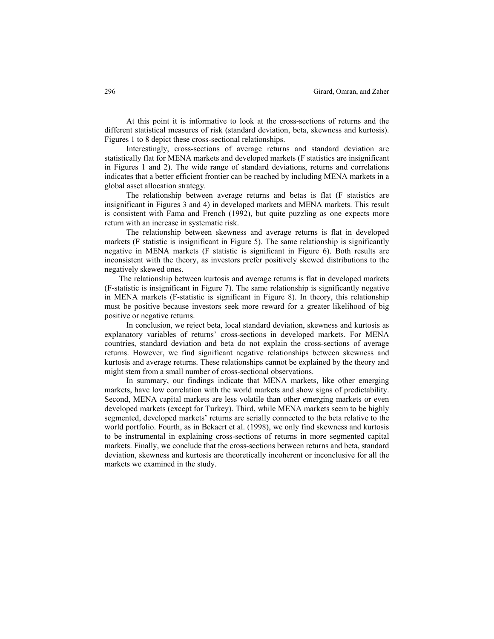At this point it is informative to look at the cross-sections of returns and the different statistical measures of risk (standard deviation, beta, skewness and kurtosis). Figures 1 to 8 depict these cross-sectional relationships.

Interestingly, cross-sections of average returns and standard deviation are statistically flat for MENA markets and developed markets (F statistics are insignificant in Figures 1 and 2). The wide range of standard deviations, returns and correlations indicates that a better efficient frontier can be reached by including MENA markets in a global asset allocation strategy.

The relationship between average returns and betas is flat (F statistics are insignificant in Figures 3 and 4) in developed markets and MENA markets. This result is consistent with Fama and French (1992), but quite puzzling as one expects more return with an increase in systematic risk.

The relationship between skewness and average returns is flat in developed markets (F statistic is insignificant in Figure 5). The same relationship is significantly negative in MENA markets (F statistic is significant in Figure 6). Both results are inconsistent with the theory, as investors prefer positively skewed distributions to the negatively skewed ones.

The relationship between kurtosis and average returns is flat in developed markets (F-statistic is insignificant in Figure 7). The same relationship is significantly negative in MENA markets (F-statistic is significant in Figure 8). In theory, this relationship must be positive because investors seek more reward for a greater likelihood of big positive or negative returns.

In conclusion, we reject beta, local standard deviation, skewness and kurtosis as explanatory variables of returns' cross-sections in developed markets. For MENA countries, standard deviation and beta do not explain the cross-sections of average returns. However, we find significant negative relationships between skewness and kurtosis and average returns. These relationships cannot be explained by the theory and might stem from a small number of cross-sectional observations.

In summary, our findings indicate that MENA markets, like other emerging markets, have low correlation with the world markets and show signs of predictability. Second, MENA capital markets are less volatile than other emerging markets or even developed markets (except for Turkey). Third, while MENA markets seem to be highly segmented, developed markets' returns are serially connected to the beta relative to the world portfolio. Fourth, as in Bekaert et al. (1998), we only find skewness and kurtosis to be instrumental in explaining cross-sections of returns in more segmented capital markets. Finally, we conclude that the cross-sections between returns and beta, standard deviation, skewness and kurtosis are theoretically incoherent or inconclusive for all the markets we examined in the study.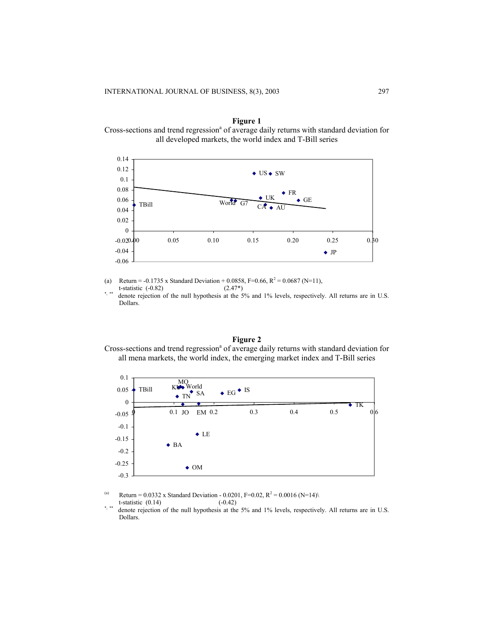**Figure 1**  Cross-sections and trend regression<sup>a</sup> of average daily returns with standard deviation for all developed markets, the world index and T-Bill series



(a) Return = -0.1735 x Standard Deviation + 0.0858, F=0.66, R<sup>2</sup> = 0.0687 (N=11),

t-statistic  $(-0.82)$  (2.47\*) denote rejection of the null hypothesis at the 5% and 1% levels, respectively. All returns are in U.S.

Dollars.

## **Figure 2**  Cross-sections and trend regression<sup>a</sup> of average daily returns with standard deviation for all mena markets, the world index, the emerging market index and T-Bill series



- (a) Return = 0.0332 x Standard Deviation 0.0201, F=0.02, R<sup>2</sup> = 0.0016 (N=14)\
- t-statistic  $(0.14)$   $(-0.42)$ <br>\*\*\* denote rejection of the null hypothesis at the denote rejection of the null hypothesis at the 5% and 1% levels, respectively. All returns are in U.S. Dollars.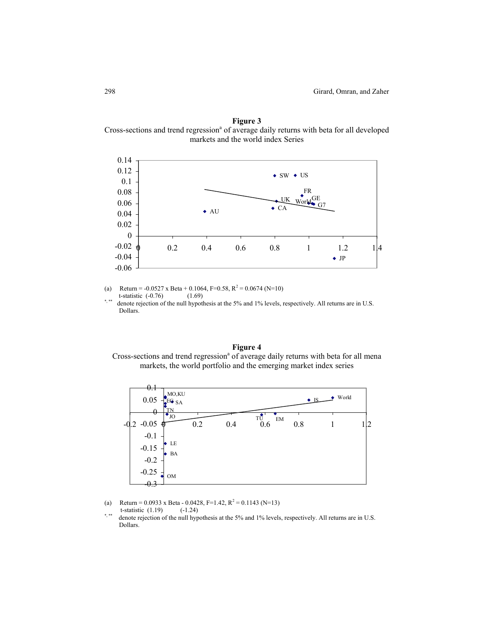**Figure 3**  Cross-sections and trend regression<sup>a</sup> of average daily returns with beta for all developed markets and the world index Series



(a) Return =  $-0.0527$  x Beta + 0.1064, F=0.58, R<sup>2</sup> = 0.0674 (N=10) t-statistic (-0.76) (1.69)

\*,\*\* denote rejection of the null hypothesis at the 5% and 1% levels, respectively. All returns are in U.S. Dollars.

## **Figure 4**  Cross-sections and trend regression<sup>a</sup> of average daily returns with beta for all mena markets, the world portfolio and the emerging market index series



- (a) Return = 0.0933 x Beta 0.0428, F=1.42, R<sup>2</sup> = 0.1143 (N=13)
- t-statistic  $(1.19)$   $(-1.24)$
- denote rejection of the null hypothesis at the 5% and 1% levels, respectively. All returns are in U.S. Dollars.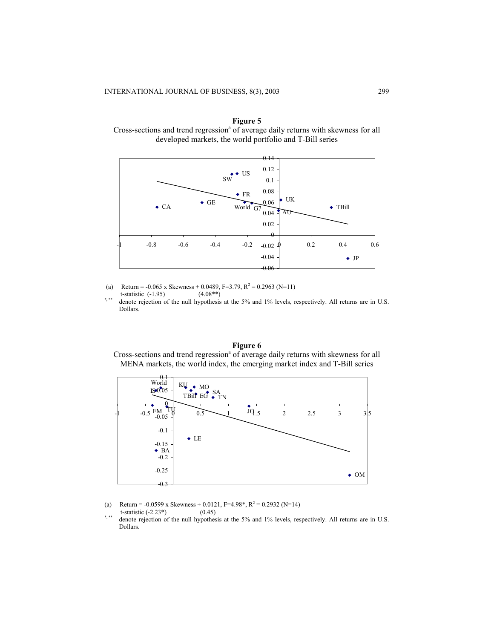**Figure 5**  Cross-sections and trend regression<sup>a</sup> of average daily returns with skewness for all developed markets, the world portfolio and T-Bill series



(a) Return = -0.065 x Skewness + 0.0489, F=3.79, R<sup>2</sup> = 0.2963 (N=11) t-statistic  $(-1.95)$   $(4.08**)$ <br>\*\*\* denote rejection of the null hunothesis

denote rejection of the null hypothesis at the 5% and 1% levels, respectively. All returns are in U.S. Dollars.

## **Figure 6**  Cross-sections and trend regression<sup>a</sup> of average daily returns with skewness for all MENA markets, the world index, the emerging market index and T-Bill series



- (a) Return = -0.0599 x Skewness + 0.0121, F=4.98\*, R<sup>2</sup> = 0.2932 (N=14)
- t-statistic  $(-2.23^*)$   $(0.45)$ <br>\*\*\* denote rejection of the null hypothes
- denote rejection of the null hypothesis at the 5% and 1% levels, respectively. All returns are in U.S. Dollars.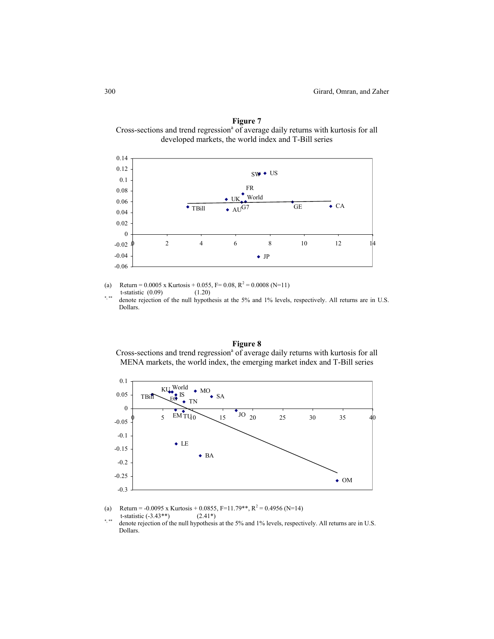**Figure 7**  Cross-sections and trend regression<sup>a</sup> of average daily returns with kurtosis for all developed markets, the world index and T-Bill series



(a) Return =  $0.0005$  x Kurtosis + 0.055, F= 0.08, R<sup>2</sup> = 0.0008 (N=11) t-statistic  $(0.09)$   $(1.20)$ 

denote rejection of the null hypothesis at the 5% and 1% levels, respectively. All returns are in U.S. Dollars.

## **Figure 8**  Cross-sections and trend regression<sup>a</sup> of average daily returns with kurtosis for all MENA markets, the world index, the emerging market index and T-Bill series



- (a) Return = -0.0095 x Kurtosis + 0.0855, F=11.79\*\*, R<sup>2</sup> = 0.4956 (N=14) t-statistic  $(-3.43**)$   $(2.41*)$ <br>\*\*\* denote rejection of the null hypothesis
- denote rejection of the null hypothesis at the 5% and 1% levels, respectively. All returns are in U.S. Dollars.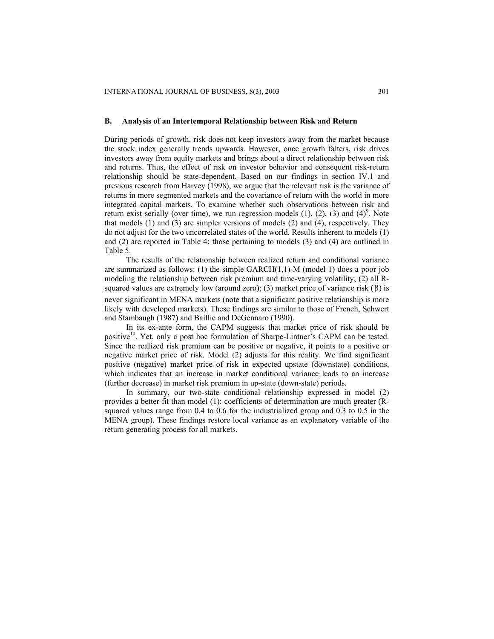#### **B. Analysis of an Intertemporal Relationship between Risk and Return**

During periods of growth, risk does not keep investors away from the market because the stock index generally trends upwards. However, once growth falters, risk drives investors away from equity markets and brings about a direct relationship between risk and returns. Thus, the effect of risk on investor behavior and consequent risk-return relationship should be state-dependent. Based on our findings in section IV.1 and previous research from Harvey (1998), we argue that the relevant risk is the variance of returns in more segmented markets and the covariance of return with the world in more integrated capital markets. To examine whether such observations between risk and return exist serially (over time), we run regression models  $(1)$ ,  $(2)$ ,  $(3)$  and  $(4)^9$ . Note that models (1) and (3) are simpler versions of models (2) and (4), respectively. They do not adjust for the two uncorrelated states of the world. Results inherent to models (1) and (2) are reported in Table 4; those pertaining to models (3) and (4) are outlined in Table 5.

The results of the relationship between realized return and conditional variance are summarized as follows: (1) the simple  $GARCH(1,1)-M$  (model 1) does a poor job modeling the relationship between risk premium and time-varying volatility; (2) all Rsquared values are extremely low (around zero); (3) market price of variance risk  $(\beta)$  is never significant in MENA markets (note that a significant positive relationship is more likely with developed markets). These findings are similar to those of French, Schwert and Stambaugh (1987) and Baillie and DeGennaro (1990).

In its ex-ante form, the CAPM suggests that market price of risk should be positive<sup>10</sup>. Yet, only a post hoc formulation of Sharpe-Lintner's CAPM can be tested. Since the realized risk premium can be positive or negative, it points to a positive or negative market price of risk. Model (2) adjusts for this reality. We find significant positive (negative) market price of risk in expected upstate (downstate) conditions, which indicates that an increase in market conditional variance leads to an increase (further decrease) in market risk premium in up-state (down-state) periods.

In summary, our two-state conditional relationship expressed in model (2) provides a better fit than model (1): coefficients of determination are much greater (Rsquared values range from 0.4 to 0.6 for the industrialized group and 0.3 to 0.5 in the MENA group). These findings restore local variance as an explanatory variable of the return generating process for all markets.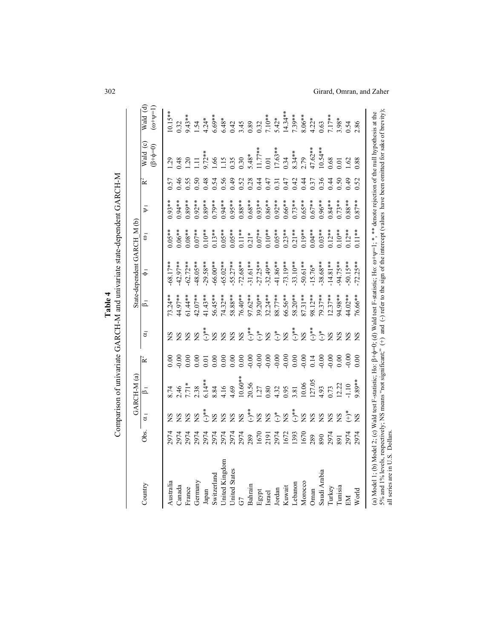|                                                                                                                                                                                                                                                                                                                                                       |                |                  | GARCH-M(a)                |                   |                  |                    | Comparison of univariate GARCH-M and univariate state-dependent GARCH-M<br>State-dependent GARCH M (b) |                |                |      |            |            |
|-------------------------------------------------------------------------------------------------------------------------------------------------------------------------------------------------------------------------------------------------------------------------------------------------------------------------------------------------------|----------------|------------------|---------------------------|-------------------|------------------|--------------------|--------------------------------------------------------------------------------------------------------|----------------|----------------|------|------------|------------|
| Country                                                                                                                                                                                                                                                                                                                                               | Obs.           | $\alpha_{\rm I}$ | $\mathbf{B}_{\mathbf{I}}$ | Ì≃                | ਠੋ               | $\overline{B}_{I}$ | $\overline{\bullet}$                                                                                   | $\overline{a}$ | $\overline{v}$ | ≧∕   | Wald $(c)$ | Wald (d)   |
|                                                                                                                                                                                                                                                                                                                                                       |                |                  |                           |                   |                  |                    |                                                                                                        |                |                |      | $(6+6=0)$  | $(0+(-1))$ |
| Australia                                                                                                                                                                                                                                                                                                                                             | 2974           | SN               | 8.74                      | 0.00              | SN               | 73.24**            | 68.17**                                                                                                | $0.05***$      | $0.93**$       | 0.57 | <b>129</b> | $10.15***$ |
| Canada                                                                                                                                                                                                                                                                                                                                                | 2974           | $\mathbf{S}$     | 2.46                      | 0.00              |                  | 44.97**            | $-42.97**$                                                                                             | $0.06***$      | $0.94***$      | 0.46 | 0.48       | 0.32       |
| France                                                                                                                                                                                                                                                                                                                                                | 2974           | 9                | $7.71*$                   | 0.00              |                  | 61.44 **           | $62.72**$                                                                                              | $0.08**$       | $0.89**$       | 0.55 | 20         | $9.43**$   |
| Germany                                                                                                                                                                                                                                                                                                                                               |                | $\frac{8}{2}$    | 2.38                      | 0.00              | $\tilde{S}$      | 42.07**            | 48.05**                                                                                                | $0.07***$      | $0.92***$      | 0.50 | $\Xi$      | 1.54       |
| Japan                                                                                                                                                                                                                                                                                                                                                 | 2974<br>2974   | $\sum_{*}^{*}$   | $6.14**$                  | 0.01              | $(-)^{**}$       | 41.43**            | $-29.58**$                                                                                             | $0.10**$       | $0.89**$       | 0.48 | $9.72***$  | $4.24*$    |
| Switzerland                                                                                                                                                                                                                                                                                                                                           | 2974           | S                | 8.84                      | 0.00              | $\tilde{S}$      | 56.45**            | $-66.00**$                                                                                             | $0.13***$      | $0.79***$      | 0.54 | .66        | $6.69**$   |
| United Kingdom                                                                                                                                                                                                                                                                                                                                        | 2974           | S                | 4.16                      | 0.00              | S                | 74.32**            | 65.02 **                                                                                               | $0.05***$      | $0.94***$      | 0.56 | 115        | $6.48*$    |
| United States                                                                                                                                                                                                                                                                                                                                         | 2974           | S                | 4.69                      | 0.00              | $\tilde{S}$      | 58.88**            | 55.27**                                                                                                | $0.05***$      | $0.95***$      | 0.49 | 0.35       | 0.42       |
| GT                                                                                                                                                                                                                                                                                                                                                    | 2974           | S                | $10.60**$                 | 0.00              | $\frac{S}{S}$    | 76.40**            | $-72.68**$                                                                                             | $0.11***$      | $0.88**$       | 0.52 | 0.30       | 3.45       |
| Bahrain                                                                                                                                                                                                                                                                                                                                               | 289            | $\sum_{\ast}$    | 20.56                     | $-0.00$           | $(-)^{**}$       | 97.62**            | $-31.61**$                                                                                             | $0.21*$        | $0.68**$       | 0.28 | $5.48*$    | 0.89       |
| Egypt                                                                                                                                                                                                                                                                                                                                                 | 1670           | $\mathbf{S}$     | 1.27                      |                   | $\sum_{i=1}^{n}$ | 39.20**            | $27.25**$                                                                                              | $0.07**$       | $0.93***$      | 0.44 | $11.77***$ | 0.32       |
| Israel                                                                                                                                                                                                                                                                                                                                                | 2191           | SN               | 0.80                      |                   | $\frac{8}{2}$    | $32.24**$          | $.32.49**$                                                                                             | $0.10***$      | $0.86***$      | 0.47 | 0.01       | $7.10**$   |
| Jordan                                                                                                                                                                                                                                                                                                                                                | 2974           | $\bigodot^\ast$  | 4.32                      |                   | $\bigodot^\ast$  | 88.77**            | 41.86**                                                                                                | $0.05***$      | $0.92***$      | 0.31 | $17.63**$  | $5.42*$    |
| Kuwait                                                                                                                                                                                                                                                                                                                                                | 1672           | S                | 0.95                      |                   | $\tilde{S}$      | 56.56**            | $-73.19***$                                                                                            | $0.23***$      | $0.66**$       | 0.47 | 0.34       | $14.34***$ |
| Lebanon                                                                                                                                                                                                                                                                                                                                               | 1393           | $(-)^{**}$       | 3.81                      | $88888$<br>$9999$ | $(-)^{**}$       | 58.20**            | 33.10**                                                                                                | $0.21***$      | $0.73***$      | 0.42 | 8.34**     | 7.39**     |
| Morocco                                                                                                                                                                                                                                                                                                                                               | 1670           | S                | 10.06                     | $-0.00$           | S                | 87.31**            | 50.61**                                                                                                | $0.19***$      | $0.65***$      | 0.44 | 2.79       | $8.06**$   |
| Oman                                                                                                                                                                                                                                                                                                                                                  | 289            | S                | 127.05                    | 0.14              | $\sum_{i=1}^{k}$ | $38.12***$         | $15.76*$                                                                                               | $0.04**$       | $0.67***$      | 0.37 | 47.62**    | $4.22*$    |
| Saudi Arabia                                                                                                                                                                                                                                                                                                                                          | 890            | SN               | 4.93                      | $-0.00$           | $\sum_{i=1}^{k}$ | 79.37**            | 38.68**                                                                                                | $0.03**$       | $0.96**$       | 0.36 | $10.54**$  | 0.63       |
| Turkey                                                                                                                                                                                                                                                                                                                                                | 2974           | S                | 0.73                      | $-0.00$           | S                | $12.37***$         | $14.81***$                                                                                             | $0.12***$      | $0.84***$      | 0.44 | 0.68       | $7.17***$  |
| Tunisia                                                                                                                                                                                                                                                                                                                                               | $\overline{5}$ | $\tilde{S}$      | 12.22                     | 0.00              |                  | 94.98**            | 94.75**                                                                                                | $0.10***$      | $0.73***$      | 0.50 | 0.01       | $3.98*$    |
| EМ                                                                                                                                                                                                                                                                                                                                                    | 2974           | $\sum_{i=1}^{n}$ | 1.10                      | 0.00              |                  | 44.02**            | 50.15**                                                                                                | $0.12***$      | $0.88**$       | 0.49 | .62        | 0.54       |
| World                                                                                                                                                                                                                                                                                                                                                 | 297            | $\frac{8}{2}$    | $89**$                    | 0.00              | SA               | 16.66**            | $-72.25***$                                                                                            | $0.11**$       | $0.87**$       | 0.52 | 0.88       | 2.86       |
| 5% and 1% levels, respectively; NS means "not significant;" (+) and (-) refer to the sign of the intercept (values have been omitted for sake of brevity);<br>(a) Model 1; (b) Model 2; (c) Wald test F-statistic; Ho: $\beta + \phi = 0$ ; (d) Wald test F-statistic; Ho: $\omega + \psi = 1$ ; *, ** denote rejection of the null hypothesis at the |                |                  |                           |                   |                  |                    |                                                                                                        |                |                |      |            |            |
| all series are in U.S. Dollars.                                                                                                                                                                                                                                                                                                                       |                |                  |                           |                   |                  |                    |                                                                                                        |                |                |      |            |            |

## 302 Girard, Omran, and Zaher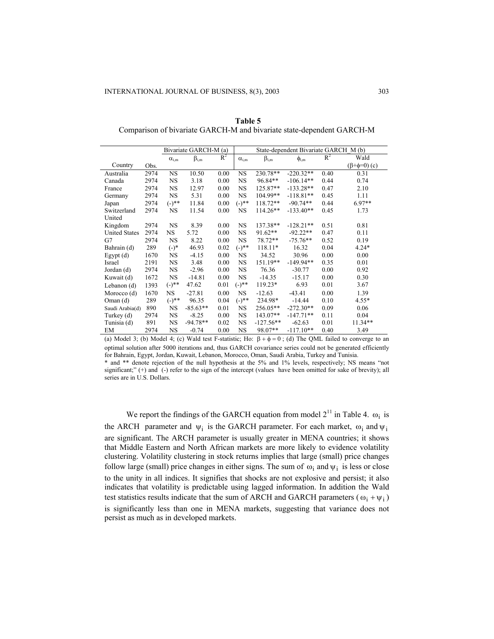|                      |      |                | Bivariate GARCH-M (a) |       |                | State-dependent Bivariate GARCH M (b) |              |       |                          |  |  |
|----------------------|------|----------------|-----------------------|-------|----------------|---------------------------------------|--------------|-------|--------------------------|--|--|
|                      |      | $\alpha_{i,m}$ | $\beta_{i,m}$         | $R^2$ | $\alpha_{i,m}$ | $\beta_{i,m}$                         | $\phi_{i,m}$ | $R^2$ | Wald                     |  |  |
| Country              | Obs. |                |                       |       |                |                                       |              |       | $(\beta + \phi = 0)$ (c) |  |  |
| Australia            | 2974 | <b>NS</b>      | 10.50                 | 0.00  | NS.            | 230.78**                              | $-220.32**$  | 0.40  | 0.31                     |  |  |
| Canada               | 2974 | NS             | 3.18                  | 0.00  | <b>NS</b>      | 96.84**                               | $-106.14**$  | 0.44  | 0.74                     |  |  |
| France               | 2974 | <b>NS</b>      | 12.97                 | 0.00  | NS.            | 125.87**                              | $-133.28**$  | 0.47  | 2.10                     |  |  |
| Germany              | 2974 | NS.            | 5.31                  | 0.00  | NS.            | 104.99**                              | $-118.81**$  | 0.45  | 1.11                     |  |  |
| Japan                | 2974 | $(-)^{**}$     | 11.84                 | 0.00  | $(-)^{**}$     | $118.72**$                            | $-90.74**$   | 0.44  | $6.97**$                 |  |  |
| Switzerland          | 2974 | <b>NS</b>      | 11.54                 | 0.00  | NS.            | 114.26**                              | $-133.40**$  | 0.45  | 1.73                     |  |  |
| United               |      |                |                       |       |                |                                       |              |       |                          |  |  |
| Kingdom              | 2974 | NS.            | 8.39                  | 0.00  | NS.            | 137.38**                              | $-128.21**$  | 0.51  | 0.81                     |  |  |
| <b>United States</b> | 2974 | NS.            | 5.72                  | 0.00  | NS.            | $91.62**$                             | $-92.22**$   | 0.47  | 0.11                     |  |  |
| G7                   | 2974 | NS             | 8.22                  | 0.00  | NS.            | 78.72**                               | $-75.76**$   | 0.52  | 0.19                     |  |  |
| Bahrain (d)          | 289  | $(-)$ *        | 46.93                 | 0.02  | $(-)^{**}$     | 118.11*                               | 16.32        | 0.04  | $4.24*$                  |  |  |
| Egypt $(d)$          | 1670 | NS             | $-4.15$               | 0.00  | <b>NS</b>      | 34.52                                 | 30.96        | 0.00  | 0.00                     |  |  |
| Israel               | 2191 | NS             | 3.48                  | 0.00  | NS.            | 151.19**                              | $-149.94**$  | 0.35  | 0.01                     |  |  |
| Jordan (d)           | 2974 | NS             | $-2.96$               | 0.00  | NS.            | 76.36                                 | $-30.77$     | 0.00  | 0.92                     |  |  |
| Kuwait (d)           | 1672 | NS.            | $-14.81$              | 0.00  | NS.            | $-14.35$                              | $-15.17$     | 0.00  | 0.30                     |  |  |
| Lebanon $(d)$        | 1393 | $(-)^{**}$     | 47.62                 | 0.01  | $(-)^{**}$     | 119.23*                               | 6.93         | 0.01  | 3.67                     |  |  |
| Morocco (d)          | 1670 | <b>NS</b>      | $-27.81$              | 0.00  | NS.            | $-12.63$                              | $-43.41$     | 0.00  | 1.39                     |  |  |
| Oman(d)              | 289  | $(-)^{**}$     | 96.35                 | 0.04  | $(-)^{**}$     | 234.98*                               | $-14.44$     | 0.10  | $4.55*$                  |  |  |
| Saudi Arabia(d)      | 890  | NS             | $-85.63**$            | 0.01  | NS.            | 256.05**                              | $-272.30**$  | 0.09  | 0.06                     |  |  |
| Turkey (d)           | 2974 | NS             | $-8.25$               | 0.00  | NS.            | $143.07**$                            | $-147.71**$  | 0.11  | 0.04                     |  |  |
| Tunisia (d)          | 891  | NS             | $-94.78**$            | 0.02  | NS.            | $-127.56**$                           | $-62.63$     | 0.01  | 11.34**                  |  |  |
| EM                   | 2974 | NS             | $-0.74$               | 0.00  | <b>NS</b>      | 98.07**                               | $-117.10**$  | 0.40  | 3.49                     |  |  |

**Table 5** Comparison of bivariate GARCH-M and bivariate state-dependent GARCH-M

(a) Model 3; (b) Model 4; (c) Wald test F-statistic; Ho:  $\beta + \phi = 0$ ; (d) The QML failed to converge to an optimal solution after 5000 iterations and, thus GARCH covariance series could not be generated efficiently for Bahrain, Egypt, Jordan, Kuwait, Lebanon, Morocco, Oman, Saudi Arabia, Turkey and Tunisia.

\* and \*\* denote rejection of the null hypothesis at the 5% and 1% levels, respectively; NS means "not significant;" (+) and (-) refer to the sign of the intercept (values have been omitted for sake of brevity); all series are in U.S. Dollars.

We report the findings of the GARCH equation from model  $2^{11}$  in Table 4.  $\omega_i$  is the ARCH parameter and  $\psi_i$  is the GARCH parameter. For each market,  $\omega_i$  and  $\psi_i$ are significant. The ARCH parameter is usually greater in MENA countries; it shows that Middle Eastern and North African markets are more likely to evidence volatility clustering. Volatility clustering in stock returns implies that large (small) price changes follow large (small) price changes in either signs. The sum of  $\omega_i$  and  $\psi_i$  is less or close to the unity in all indices. It signifies that shocks are not explosive and persist; it also indicates that volatility is predictable using lagged information. In addition the Wald test statistics results indicate that the sum of ARCH and GARCH parameters ( $\omega_i + \psi_i$ ) is significantly less than one in MENA markets, suggesting that variance does not persist as much as in developed markets.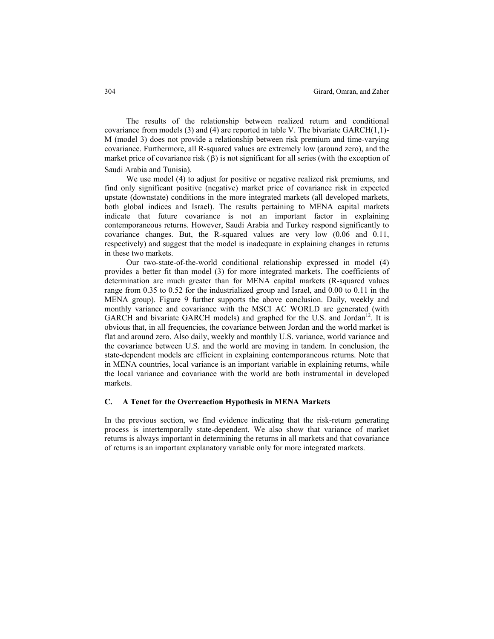The results of the relationship between realized return and conditional covariance from models (3) and (4) are reported in table V. The bivariate GARCH(1,1)- M (model 3) does not provide a relationship between risk premium and time-varying covariance. Furthermore, all R-squared values are extremely low (around zero), and the market price of covariance risk  $(\beta)$  is not significant for all series (with the exception of Saudi Arabia and Tunisia).

We use model (4) to adjust for positive or negative realized risk premiums, and find only significant positive (negative) market price of covariance risk in expected upstate (downstate) conditions in the more integrated markets (all developed markets, both global indices and Israel). The results pertaining to MENA capital markets indicate that future covariance is not an important factor in explaining contemporaneous returns. However, Saudi Arabia and Turkey respond significantly to covariance changes. But, the R-squared values are very low (0.06 and 0.11, respectively) and suggest that the model is inadequate in explaining changes in returns in these two markets.

Our two-state-of-the-world conditional relationship expressed in model (4) provides a better fit than model (3) for more integrated markets. The coefficients of determination are much greater than for MENA capital markets (R-squared values range from 0.35 to 0.52 for the industrialized group and Israel, and 0.00 to 0.11 in the MENA group). Figure 9 further supports the above conclusion. Daily, weekly and monthly variance and covariance with the MSCI AC WORLD are generated (with GARCH and bivariate GARCH models) and graphed for the U.S. and Jordan $^{12}$ . It is obvious that, in all frequencies, the covariance between Jordan and the world market is flat and around zero. Also daily, weekly and monthly U.S. variance, world variance and the covariance between U.S. and the world are moving in tandem. In conclusion, the state-dependent models are efficient in explaining contemporaneous returns. Note that in MENA countries, local variance is an important variable in explaining returns, while the local variance and covariance with the world are both instrumental in developed markets.

#### **C. A Tenet for the Overreaction Hypothesis in MENA Markets**

In the previous section, we find evidence indicating that the risk-return generating process is intertemporally state-dependent. We also show that variance of market returns is always important in determining the returns in all markets and that covariance of returns is an important explanatory variable only for more integrated markets.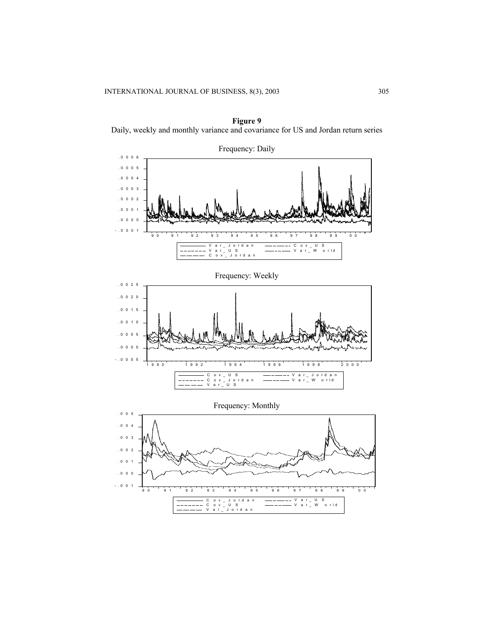

**Figure 9**  Daily, weekly and monthly variance and covariance for US and Jordan return series

Frequency: Weekly



Frequency: Monthly

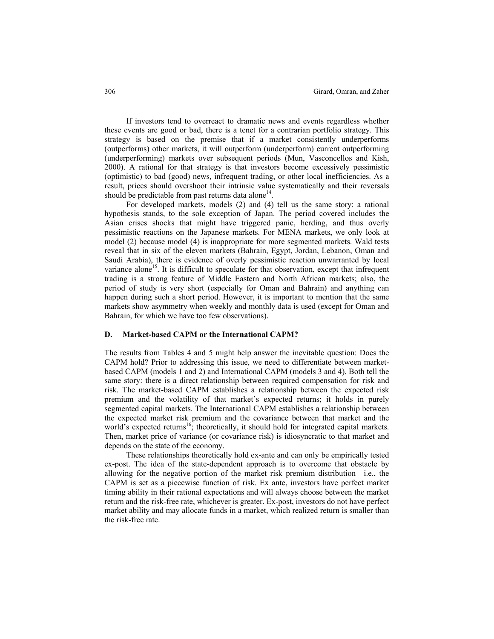If investors tend to overreact to dramatic news and events regardless whether these events are good or bad, there is a tenet for a contrarian portfolio strategy. This strategy is based on the premise that if a market consistently underperforms (outperforms) other markets, it will outperform (underperform) current outperforming (underperforming) markets over subsequent periods (Mun, Vasconcellos and Kish, 2000). A rational for that strategy is that investors become excessively pessimistic (optimistic) to bad (good) news, infrequent trading, or other local inefficiencies. As a result, prices should overshoot their intrinsic value systematically and their reversals should be predictable from past returns data alone<sup>14</sup>.

For developed markets, models (2) and (4) tell us the same story: a rational hypothesis stands, to the sole exception of Japan. The period covered includes the Asian crises shocks that might have triggered panic, herding, and thus overly pessimistic reactions on the Japanese markets. For MENA markets, we only look at model (2) because model (4) is inappropriate for more segmented markets. Wald tests reveal that in six of the eleven markets (Bahrain, Egypt, Jordan, Lebanon, Oman and Saudi Arabia), there is evidence of overly pessimistic reaction unwarranted by local variance alone<sup>15</sup>. It is difficult to speculate for that observation, except that infrequent trading is a strong feature of Middle Eastern and North African markets; also, the period of study is very short (especially for Oman and Bahrain) and anything can happen during such a short period. However, it is important to mention that the same markets show asymmetry when weekly and monthly data is used (except for Oman and Bahrain, for which we have too few observations).

### **D. Market-based CAPM or the International CAPM?**

The results from Tables 4 and 5 might help answer the inevitable question: Does the CAPM hold? Prior to addressing this issue, we need to differentiate between marketbased CAPM (models 1 and 2) and International CAPM (models 3 and 4). Both tell the same story: there is a direct relationship between required compensation for risk and risk. The market-based CAPM establishes a relationship between the expected risk premium and the volatility of that market's expected returns; it holds in purely segmented capital markets. The International CAPM establishes a relationship between the expected market risk premium and the covariance between that market and the world's expected returns<sup>16</sup>; theoretically, it should hold for integrated capital markets. Then, market price of variance (or covariance risk) is idiosyncratic to that market and depends on the state of the economy.

These relationships theoretically hold ex-ante and can only be empirically tested ex-post. The idea of the state-dependent approach is to overcome that obstacle by allowing for the negative portion of the market risk premium distribution—i.e., the CAPM is set as a piecewise function of risk. Ex ante, investors have perfect market timing ability in their rational expectations and will always choose between the market return and the risk-free rate, whichever is greater. Ex-post, investors do not have perfect market ability and may allocate funds in a market, which realized return is smaller than the risk-free rate.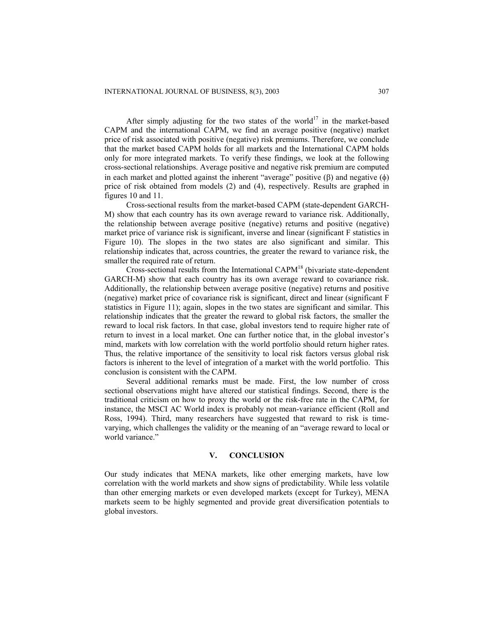After simply adjusting for the two states of the world<sup>17</sup> in the market-based CAPM and the international CAPM, we find an average positive (negative) market price of risk associated with positive (negative) risk premiums. Therefore, we conclude that the market based CAPM holds for all markets and the International CAPM holds only for more integrated markets. To verify these findings, we look at the following cross-sectional relationships. Average positive and negative risk premium are computed in each market and plotted against the inherent "average" positive (β) and negative ( $φ$ ) price of risk obtained from models (2) and (4), respectively. Results are graphed in figures 10 and 11.

Cross-sectional results from the market-based CAPM (state-dependent GARCH-M) show that each country has its own average reward to variance risk. Additionally, the relationship between average positive (negative) returns and positive (negative) market price of variance risk is significant, inverse and linear (significant F statistics in Figure 10). The slopes in the two states are also significant and similar. This relationship indicates that, across countries, the greater the reward to variance risk, the smaller the required rate of return.

Cross-sectional results from the International CAP $M^{18}$  (bivariate state-dependent GARCH-M) show that each country has its own average reward to covariance risk. Additionally, the relationship between average positive (negative) returns and positive (negative) market price of covariance risk is significant, direct and linear (significant F statistics in Figure 11); again, slopes in the two states are significant and similar. This relationship indicates that the greater the reward to global risk factors, the smaller the reward to local risk factors. In that case, global investors tend to require higher rate of return to invest in a local market. One can further notice that, in the global investor's mind, markets with low correlation with the world portfolio should return higher rates. Thus, the relative importance of the sensitivity to local risk factors versus global risk factors is inherent to the level of integration of a market with the world portfolio. This conclusion is consistent with the CAPM.

Several additional remarks must be made. First, the low number of cross sectional observations might have altered our statistical findings. Second, there is the traditional criticism on how to proxy the world or the risk-free rate in the CAPM, for instance, the MSCI AC World index is probably not mean-variance efficient (Roll and Ross, 1994). Third, many researchers have suggested that reward to risk is timevarying, which challenges the validity or the meaning of an "average reward to local or world variance."

### **V. CONCLUSION**

Our study indicates that MENA markets, like other emerging markets, have low correlation with the world markets and show signs of predictability. While less volatile than other emerging markets or even developed markets (except for Turkey), MENA markets seem to be highly segmented and provide great diversification potentials to global investors.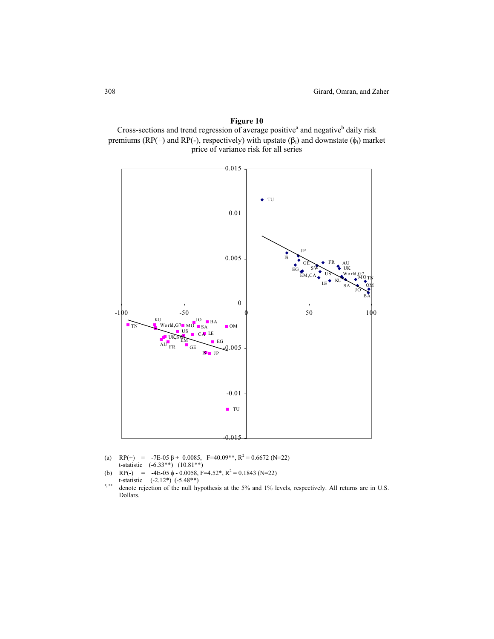



- (a)  $RP(+) = -7E-0.0985, F=40.09**$ ,  $R^2 = 0.6672$  (N=22) t-statistic (-6.33\*\*) (10.81\*\*)
- (b) RP(-) = -4E-05  $\phi$  0.0058, F=4.52\*, R<sup>2</sup> = 0.1843 (N=22)
- t-statistic  $(-2.12^*)$   $(-5.48^{**})$ denote rejection of the null hypothesis at the 5% and 1% levels, respectively. All returns are in U.S. Dollars.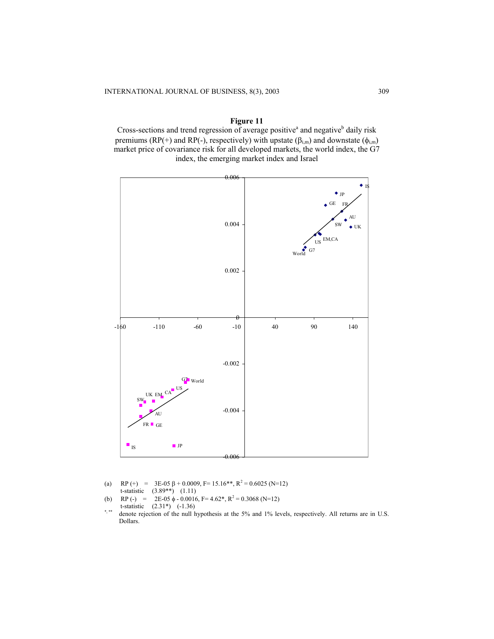## **Figure 11**

Cross-sections and trend regression of average positive<sup>a</sup> and negative<sup>b</sup> daily risk premiums (RP(+) and RP(-), respectively) with upstate ( $\beta_{i,m}$ ) and downstate ( $\phi_{i,m}$ ) market price of covariance risk for all developed markets, the world index, the G7 index, the emerging market index and Israel



- (a) RP (+) =  $3E-0.5 \beta + 0.0009$ , F=  $15.16**$ , R<sup>2</sup> = 0.6025 (N=12) t-statistic (3.89\*\*) (1.11) (b) RP (-) =  $2E-0.5 \phi - 0.0016$ , F = 4.62<sup>\*</sup>, R<sup>2</sup> = 0.3068 (N=12)
- t-statistic  $(2.31^*)$   $(-1.36)$ <br>\*\*\* denote rejection of the null h
- denote rejection of the null hypothesis at the 5% and 1% levels, respectively. All returns are in U.S. Dollars.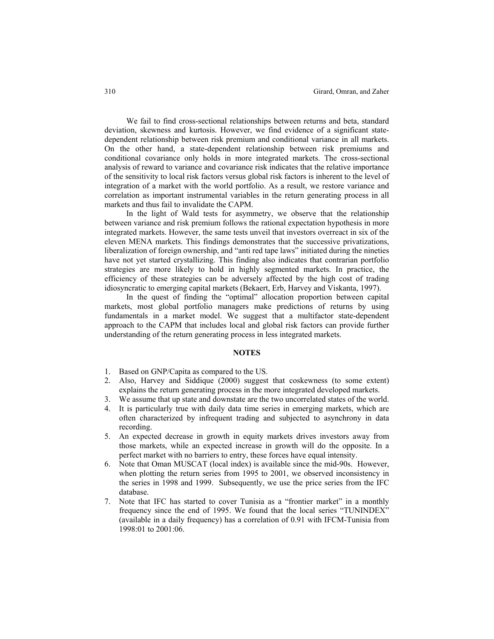We fail to find cross-sectional relationships between returns and beta, standard deviation, skewness and kurtosis. However, we find evidence of a significant statedependent relationship between risk premium and conditional variance in all markets. On the other hand, a state-dependent relationship between risk premiums and conditional covariance only holds in more integrated markets. The cross-sectional analysis of reward to variance and covariance risk indicates that the relative importance of the sensitivity to local risk factors versus global risk factors is inherent to the level of integration of a market with the world portfolio. As a result, we restore variance and correlation as important instrumental variables in the return generating process in all markets and thus fail to invalidate the CAPM.

In the light of Wald tests for asymmetry, we observe that the relationship between variance and risk premium follows the rational expectation hypothesis in more integrated markets. However, the same tests unveil that investors overreact in six of the eleven MENA markets. This findings demonstrates that the successive privatizations, liberalization of foreign ownership, and "anti red tape laws" initiated during the nineties have not yet started crystallizing. This finding also indicates that contrarian portfolio strategies are more likely to hold in highly segmented markets. In practice, the efficiency of these strategies can be adversely affected by the high cost of trading idiosyncratic to emerging capital markets (Bekaert, Erb, Harvey and Viskanta, 1997).

In the quest of finding the "optimal" allocation proportion between capital markets, most global portfolio managers make predictions of returns by using fundamentals in a market model. We suggest that a multifactor state-dependent approach to the CAPM that includes local and global risk factors can provide further understanding of the return generating process in less integrated markets.

### **NOTES**

- 1. Based on GNP/Capita as compared to the US.
- 2. Also, Harvey and Siddique (2000) suggest that coskewness (to some extent) explains the return generating process in the more integrated developed markets.
- 3. We assume that up state and downstate are the two uncorrelated states of the world.
- 4. It is particularly true with daily data time series in emerging markets, which are often characterized by infrequent trading and subjected to asynchrony in data recording.
- 5. An expected decrease in growth in equity markets drives investors away from those markets, while an expected increase in growth will do the opposite. In a perfect market with no barriers to entry, these forces have equal intensity.
- 6. Note that Oman MUSCAT (local index) is available since the mid-90s. However, when plotting the return series from 1995 to 2001, we observed inconsistency in the series in 1998 and 1999. Subsequently, we use the price series from the IFC database.
- 7. Note that IFC has started to cover Tunisia as a "frontier market" in a monthly frequency since the end of 1995. We found that the local series "TUNINDEX" (available in a daily frequency) has a correlation of 0.91 with IFCM-Tunisia from 1998:01 to 2001:06.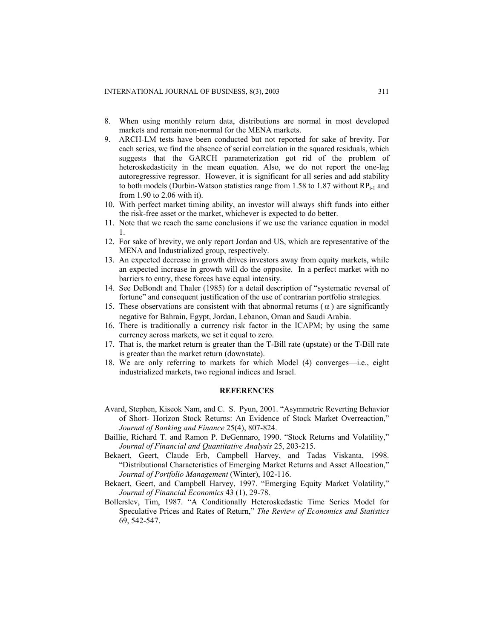- 8. When using monthly return data, distributions are normal in most developed markets and remain non-normal for the MENA markets.
- 9. ARCH-LM tests have been conducted but not reported for sake of brevity. For each series, we find the absence of serial correlation in the squared residuals, which suggests that the GARCH parameterization got rid of the problem of heteroskedasticity in the mean equation. Also, we do not report the one-lag autoregressive regressor. However, it is significant for all series and add stability to both models (Durbin-Watson statistics range from 1.58 to 1.87 without  $RP_{t-1}$  and from 1.90 to 2.06 with it).
- 10. With perfect market timing ability, an investor will always shift funds into either the risk-free asset or the market, whichever is expected to do better.
- 11. Note that we reach the same conclusions if we use the variance equation in model 1.
- 12. For sake of brevity, we only report Jordan and US, which are representative of the MENA and Industrialized group, respectively.
- 13. An expected decrease in growth drives investors away from equity markets, while an expected increase in growth will do the opposite. In a perfect market with no barriers to entry, these forces have equal intensity.
- 14. See DeBondt and Thaler (1985) for a detail description of "systematic reversal of fortune" and consequent justification of the use of contrarian portfolio strategies.
- 15. These observations are consistent with that abnormal returns ( $\alpha$ ) are significantly negative for Bahrain, Egypt, Jordan, Lebanon, Oman and Saudi Arabia.
- 16. There is traditionally a currency risk factor in the ICAPM; by using the same currency across markets, we set it equal to zero.
- 17. That is, the market return is greater than the T-Bill rate (upstate) or the T-Bill rate is greater than the market return (downstate).
- 18. We are only referring to markets for which Model (4) converges—i.e., eight industrialized markets, two regional indices and Israel.

## **REFERENCES**

- Avard, Stephen, Kiseok Nam, and C. S. Pyun, 2001. "Asymmetric Reverting Behavior of Short- Horizon Stock Returns: An Evidence of Stock Market Overreaction," *Journal of Banking and Finance* 25(4), 807-824.
- Baillie, Richard T. and Ramon P. DeGennaro, 1990. "Stock Returns and Volatility," *Journal of Financial and Quantitative Analysis* 25, 203-215.
- Bekaert, Geert, Claude Erb, Campbell Harvey, and Tadas Viskanta, 1998. "Distributional Characteristics of Emerging Market Returns and Asset Allocation," *Journal of Portfolio Management* (Winter), 102-116.
- Bekaert, Geert, and Campbell Harvey, 1997. "Emerging Equity Market Volatility," *Journal of Financial Economics* 43 (1), 29-78.
- Bollerslev, Tim, 1987. "A Conditionally Heteroskedastic Time Series Model for Speculative Prices and Rates of Return," *The Review of Economics and Statistics* 69, 542-547.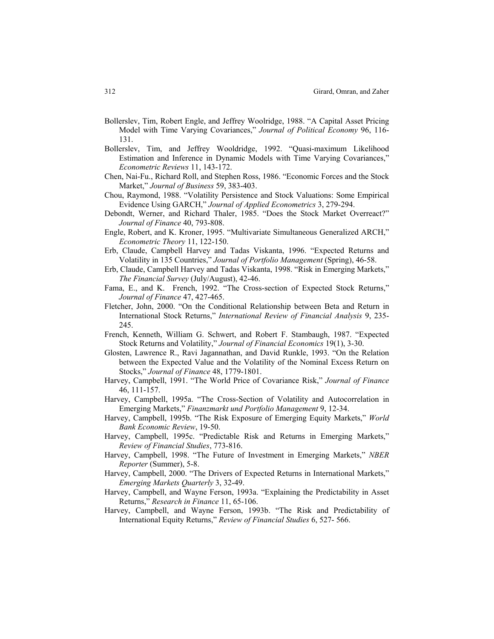- Bollerslev, Tim, Robert Engle, and Jeffrey Woolridge, 1988. "A Capital Asset Pricing Model with Time Varying Covariances," *Journal of Political Economy* 96, 116- 131.
- Bollerslev, Tim, and Jeffrey Wooldridge, 1992. "Quasi-maximum Likelihood Estimation and Inference in Dynamic Models with Time Varying Covariances," *Econometric Reviews* 11, 143-172.
- Chen, Nai-Fu., Richard Roll, and Stephen Ross, 1986. "Economic Forces and the Stock Market," *Journal of Business* 59, 383-403.
- Chou, Raymond, 1988. "Volatility Persistence and Stock Valuations: Some Empirical Evidence Using GARCH," *Journal of Applied Econometrics* 3, 279-294.
- Debondt, Werner, and Richard Thaler, 1985. "Does the Stock Market Overreact?" *Journal of Finance* 40, 793-808.
- Engle, Robert, and K. Kroner, 1995. "Multivariate Simultaneous Generalized ARCH," *Econometric Theory* 11, 122-150.
- Erb, Claude, Campbell Harvey and Tadas Viskanta, 1996. "Expected Returns and Volatility in 135 Countries," *Journal of Portfolio Management* (Spring), 46-58.
- Erb, Claude, Campbell Harvey and Tadas Viskanta, 1998. "Risk in Emerging Markets," *The Financial Survey* (July/August), 42-46.
- Fama, E., and K. French, 1992. "The Cross-section of Expected Stock Returns," *Journal of Finance* 47, 427-465.
- Fletcher, John, 2000. "On the Conditional Relationship between Beta and Return in International Stock Returns," *International Review of Financial Analysis* 9, 235- 245.
- French, Kenneth, William G. Schwert, and Robert F. Stambaugh, 1987. "Expected Stock Returns and Volatility," *Journal of Financial Economics* 19(1), 3-30.
- Glosten, Lawrence R., Ravi Jagannathan, and David Runkle, 1993. "On the Relation between the Expected Value and the Volatility of the Nominal Excess Return on Stocks," *Journal of Finance* 48, 1779-1801.
- Harvey, Campbell, 1991. "The World Price of Covariance Risk," *Journal of Finance* 46, 111-157.
- Harvey, Campbell, 1995a. "The Cross-Section of Volatility and Autocorrelation in Emerging Markets," *Finanzmarkt und Portfolio Management* 9, 12-34.
- Harvey, Campbell, 1995b. "The Risk Exposure of Emerging Equity Markets," *World Bank Economic Review*, 19-50.
- Harvey, Campbell, 1995c. "Predictable Risk and Returns in Emerging Markets," *Review of Financial Studies*, 773-816.
- Harvey, Campbell, 1998. "The Future of Investment in Emerging Markets," *NBER Reporter* (Summer), 5-8.
- Harvey, Campbell, 2000. "The Drivers of Expected Returns in International Markets," *Emerging Markets Quarterly* 3, 32-49.
- Harvey, Campbell, and Wayne Ferson, 1993a. "Explaining the Predictability in Asset Returns," *Research in Finance* 11, 65-106.
- Harvey, Campbell, and Wayne Ferson, 1993b. "The Risk and Predictability of International Equity Returns," *Review of Financial Studies* 6, 527- 566.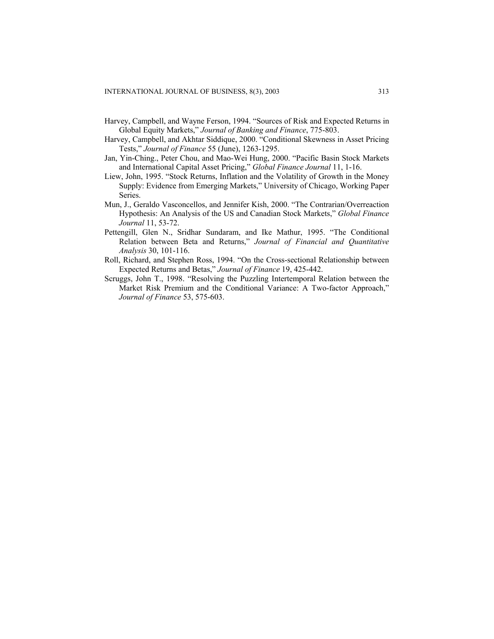- Harvey, Campbell, and Wayne Ferson, 1994. "Sources of Risk and Expected Returns in Global Equity Markets," *Journal of Banking and Finance*, 775-803.
- Harvey, Campbell, and Akhtar Siddique, 2000. "Conditional Skewness in Asset Pricing Tests," *Journal of Finance* 55 (June), 1263-1295.
- Jan, Yin-Ching., Peter Chou, and Mao-Wei Hung, 2000. "Pacific Basin Stock Markets and International Capital Asset Pricing," *Global Finance Journal* 11, 1-16.
- Liew, John, 1995. "Stock Returns, Inflation and the Volatility of Growth in the Money Supply: Evidence from Emerging Markets," University of Chicago, Working Paper Series.
- Mun, J., Geraldo Vasconcellos, and Jennifer Kish, 2000. "The Contrarian/Overreaction Hypothesis: An Analysis of the US and Canadian Stock Markets," *Global Finance Journal* 11, 53-72.
- Pettengill, Glen N., Sridhar Sundaram, and Ike Mathur, 1995. "The Conditional Relation between Beta and Returns," *Journal of Financial and Quantitative Analysis* 30, 101-116.
- Roll, Richard, and Stephen Ross, 1994. "On the Cross-sectional Relationship between Expected Returns and Betas," *Journal of Finance* 19, 425-442.
- Scruggs, John T., 1998. "Resolving the Puzzling Intertemporal Relation between the Market Risk Premium and the Conditional Variance: A Two-factor Approach," *Journal of Finance* 53, 575-603.